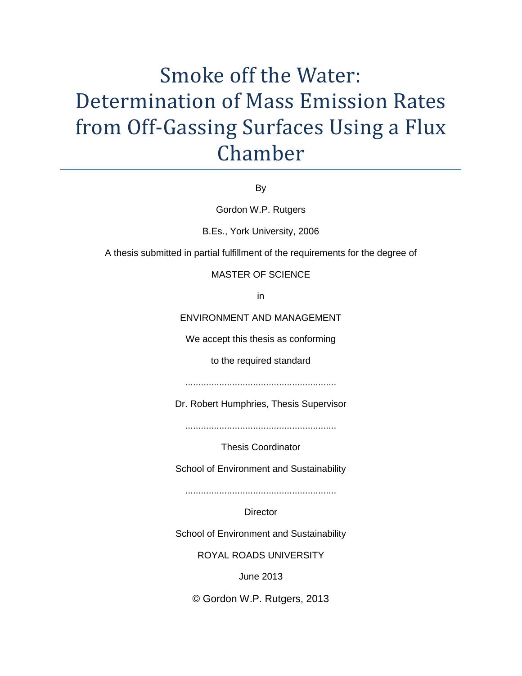# Smoke off the Water: Determination of Mass Emission Rates from Off-Gassing Surfaces Using a Flux Chamber

By

Gordon W.P. Rutgers

B.Es., York University, 2006

A thesis submitted in partial fulfillment of the requirements for the degree of

# MASTER OF SCIENCE

in

ENVIRONMENT AND MANAGEMENT

We accept this thesis as conforming

to the required standard

..........................................................

Dr. Robert Humphries, Thesis Supervisor

..........................................................

Thesis Coordinator

School of Environment and Sustainability

..........................................................

**Director** 

School of Environment and Sustainability

ROYAL ROADS UNIVERSITY

June 2013

© Gordon W.P. Rutgers, 2013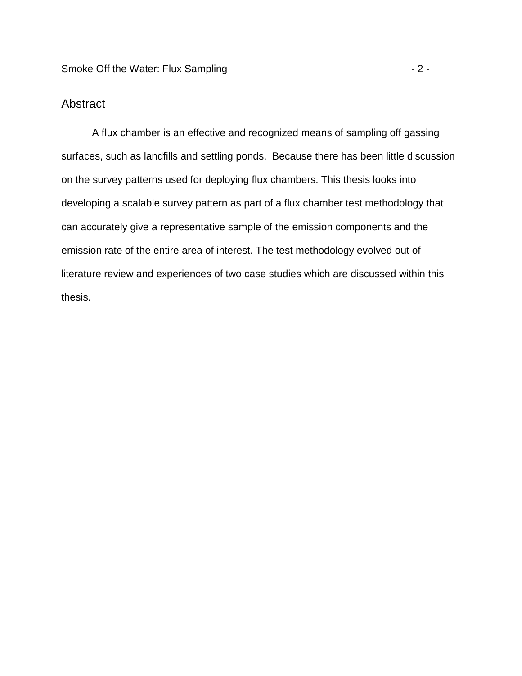# **Abstract**

A flux chamber is an effective and recognized means of sampling off gassing surfaces, such as landfills and settling ponds. Because there has been little discussion on the survey patterns used for deploying flux chambers. This thesis looks into developing a scalable survey pattern as part of a flux chamber test methodology that can accurately give a representative sample of the emission components and the emission rate of the entire area of interest. The test methodology evolved out of literature review and experiences of two case studies which are discussed within this thesis.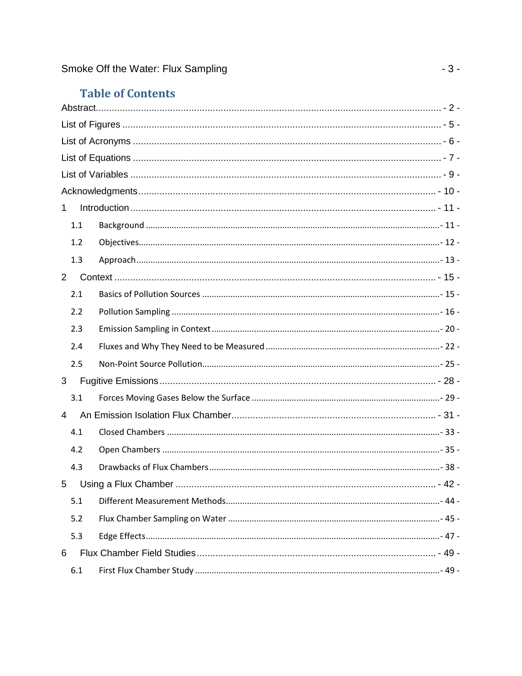# **Table of Contents**

| $\mathbf{1}$   |  |  |  |  |
|----------------|--|--|--|--|
| 1.1            |  |  |  |  |
| 1.2            |  |  |  |  |
| 1.3            |  |  |  |  |
| 2 <sup>1</sup> |  |  |  |  |
| 2.1            |  |  |  |  |
| 2.2            |  |  |  |  |
| 2.3            |  |  |  |  |
| 2.4            |  |  |  |  |
| 2.5            |  |  |  |  |
| 3              |  |  |  |  |
| 3.1            |  |  |  |  |
| 4              |  |  |  |  |
| 4.1            |  |  |  |  |
| 4.2            |  |  |  |  |
| 4.3            |  |  |  |  |
|                |  |  |  |  |
| 5.1            |  |  |  |  |
| 5.2            |  |  |  |  |
| 5.3            |  |  |  |  |
| 6              |  |  |  |  |
| 6.1            |  |  |  |  |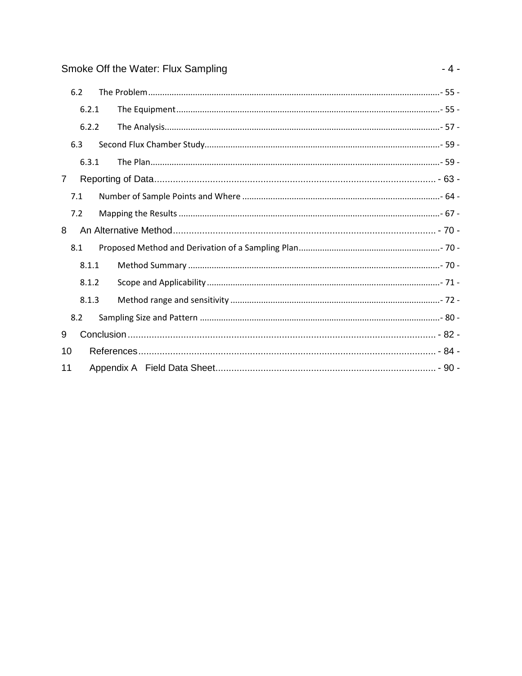|                | 6.2 |       |  |  |  |
|----------------|-----|-------|--|--|--|
|                |     | 6.2.1 |  |  |  |
|                |     | 6.2.2 |  |  |  |
|                | 6.3 |       |  |  |  |
|                |     | 6.3.1 |  |  |  |
| $\overline{7}$ |     |       |  |  |  |
|                | 7.1 |       |  |  |  |
|                | 7.2 |       |  |  |  |
| 8              |     |       |  |  |  |
|                | 8.1 |       |  |  |  |
|                |     | 8.1.1 |  |  |  |
|                |     | 8.1.2 |  |  |  |
|                |     | 8.1.3 |  |  |  |
|                | 8.2 |       |  |  |  |
| 9              |     |       |  |  |  |
| 10             |     |       |  |  |  |
|                | 11  |       |  |  |  |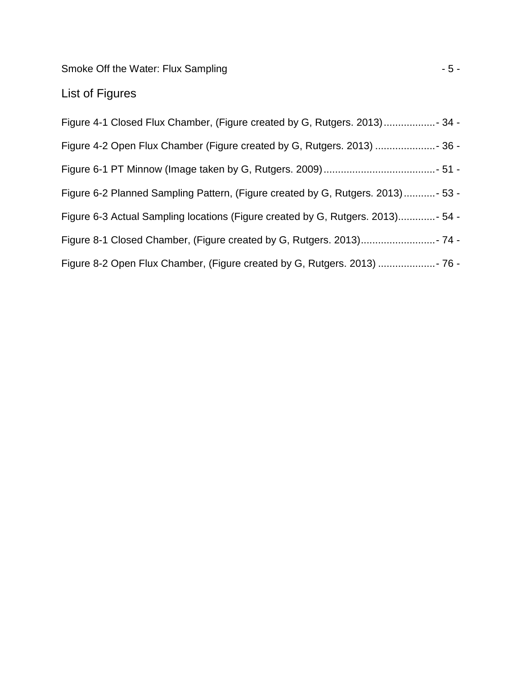Smoke Off the Water: Flux Sampling  $-5$  -

# List of Figures

| Figure 6-2 Planned Sampling Pattern, (Figure created by G, Rutgers. 2013)  - 53 - |
|-----------------------------------------------------------------------------------|
| Figure 6-3 Actual Sampling locations (Figure created by G, Rutgers. 2013) - 54 -  |
|                                                                                   |
|                                                                                   |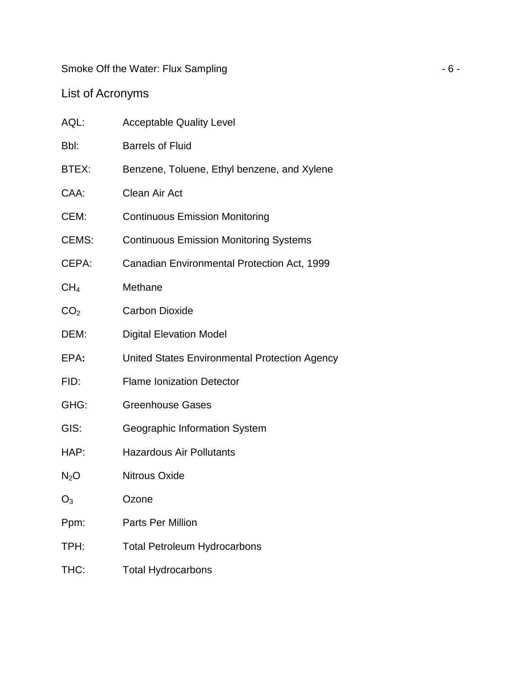Smoke Off the Water: Flux Sampling  $-6 -$ 

# List of Acronyms

| AQL:            | <b>Acceptable Quality Level</b>               |
|-----------------|-----------------------------------------------|
| Bbl:            | <b>Barrels of Fluid</b>                       |
| BTEX:           | Benzene, Toluene, Ethyl benzene, and Xylene   |
| CAA:            | <b>Clean Air Act</b>                          |
| CEM:            | <b>Continuous Emission Monitoring</b>         |
| CEMS:           | <b>Continuous Emission Monitoring Systems</b> |
| CEPA:           | Canadian Environmental Protection Act, 1999   |
| CH <sub>4</sub> | Methane                                       |
| CO <sub>2</sub> | <b>Carbon Dioxide</b>                         |
| DEM:            | <b>Digital Elevation Model</b>                |
| EPA:            | United States Environmental Protection Agency |
| FID:            | <b>Flame Ionization Detector</b>              |
| GHG:            | <b>Greenhouse Gases</b>                       |
| GIS:            | Geographic Information System                 |
| HAP:            | <b>Hazardous Air Pollutants</b>               |
| $N_2O$          | <b>Nitrous Oxide</b>                          |
| $O_3$           | Ozone                                         |
| Ppm:            | <b>Parts Per Million</b>                      |
| TPH:            | <b>Total Petroleum Hydrocarbons</b>           |
| THC:            | <b>Total Hydrocarbons</b>                     |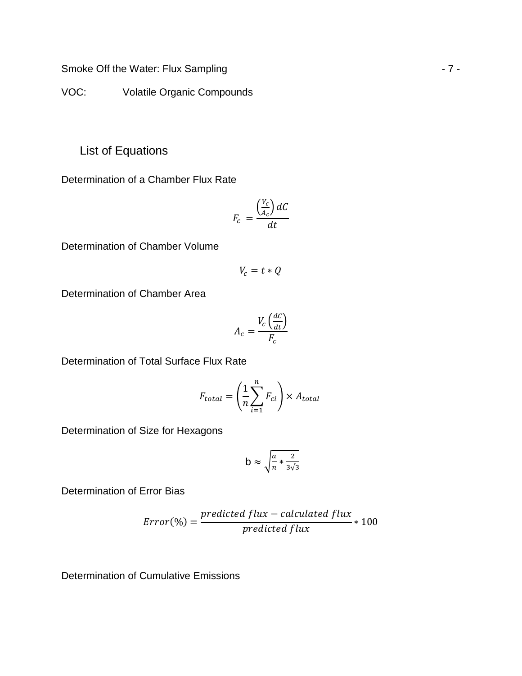Smoke Off the Water: Flux Sampling  $-7 -$ 

VOC: Volatile Organic Compounds

List of Equations

Determination of a Chamber Flux Rate

$$
F_c = \frac{\left(\frac{V_c}{A_c}\right)dC}{dt}
$$

Determination of Chamber Volume

$$
V_c = t * Q
$$

Determination of Chamber Area

$$
A_c = \frac{V_c \left(\frac{dC}{dt}\right)}{F_c}
$$

Determination of Total Surface Flux Rate

$$
F_{total} = \left(\frac{1}{n}\sum_{i=1}^{n} F_{ci}\right) \times A_{total}
$$

Determination of Size for Hexagons

$$
b \approx \sqrt{\frac{a}{n} * \frac{2}{3\sqrt{3}}}
$$

Determination of Error Bias

$$
Error(\%) = \frac{predicted flux - calculated flux}{predicted flux} * 100
$$

Determination of Cumulative Emissions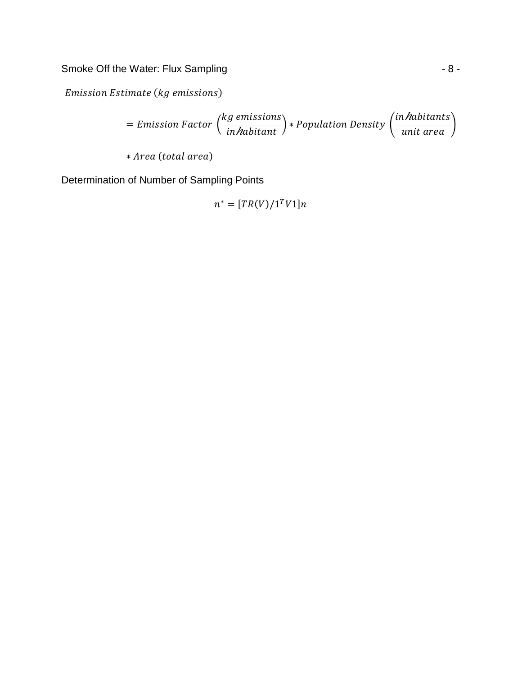Smoke Off the Water: Flux Sampling  $-8$  -

Emission Estimate (kg emissions)

$$
= Emission Factor\left(\frac{kg\text{ emissions}}{in\text{habitant}}\right) * Population Density\left(\frac{in\text{habitants}}{unit\text{ area}}\right)
$$

\* Area (total area)

Determination of Number of Sampling Points

$$
n^* = [TR(V)/1^T V1]n
$$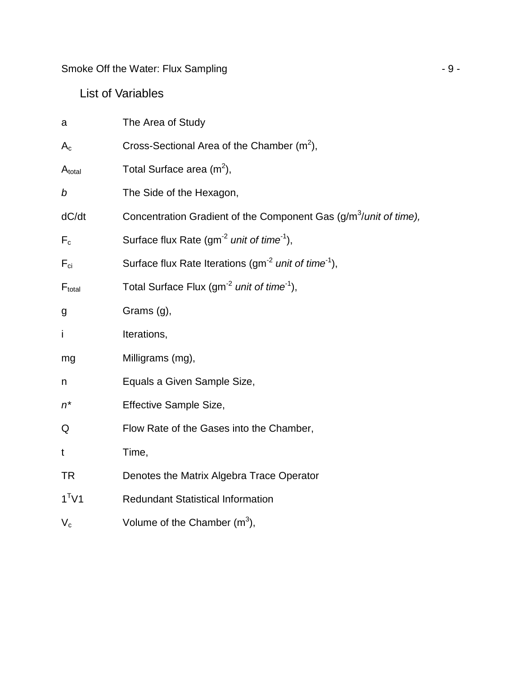Smoke Off the Water: Flux Sampling  $-9 -$ 

# List of Variables

| a           | The Area of Study                                                             |
|-------------|-------------------------------------------------------------------------------|
| $A_{c}$     | Cross-Sectional Area of the Chamber $(m^2)$ ,                                 |
| $A_{total}$ | Total Surface area $(m^2)$ ,                                                  |
| b           | The Side of the Hexagon,                                                      |
| dC/dt       | Concentration Gradient of the Component Gas (g/m <sup>3</sup> /unit of time), |
| $F_c$       | Surface flux Rate (gm <sup>-2</sup> unit of time <sup>-1</sup> ),             |
| $F_{ci}$    | Surface flux Rate Iterations (gm <sup>-2</sup> unit of time <sup>-1</sup> ),  |
| $F_{total}$ | Total Surface Flux (gm <sup>-2</sup> unit of time <sup>-1</sup> ),            |
| g           | Grams (g),                                                                    |
| İ           | Iterations,                                                                   |
| mg          | Milligrams (mg),                                                              |
| n           | Equals a Given Sample Size,                                                   |
| $n^*$       | Effective Sample Size,                                                        |
| Q           | Flow Rate of the Gases into the Chamber,                                      |
| t           | Time,                                                                         |
| <b>TR</b>   | Denotes the Matrix Algebra Trace Operator                                     |
| $1^T V1$    | <b>Redundant Statistical Information</b>                                      |
| $V_c$       | Volume of the Chamber $(m^3)$ ,                                               |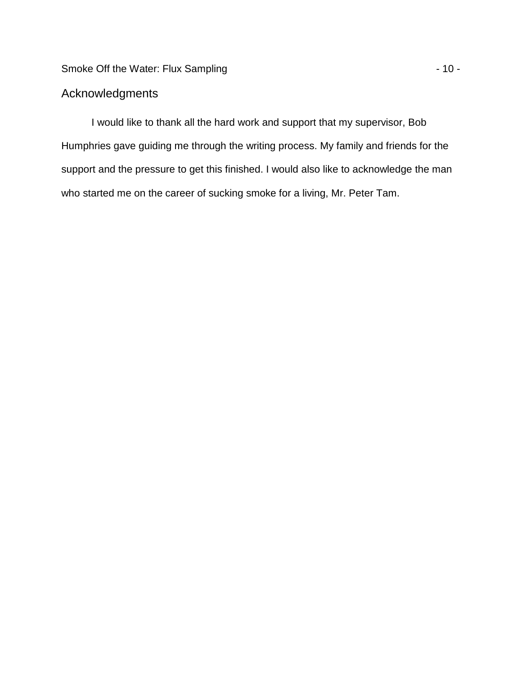# **Acknowledgments**

I would like to thank all the hard work and support that my supervisor, Bob Humphries gave guiding me through the writing process. My family and friends for the support and the pressure to get this finished. I would also like to acknowledge the man who started me on the career of sucking smoke for a living, Mr. Peter Tam.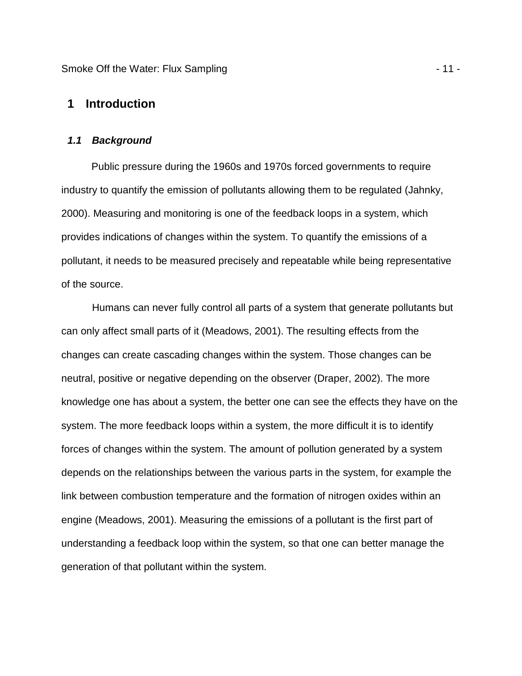Smoke Off the Water: Flux Sampling - 11 -

# **1 Introduction**

## **1.1 Background**

Public pressure during the 1960s and 1970s forced governments to require industry to quantify the emission of pollutants allowing them to be regulated (Jahnky, 2000). Measuring and monitoring is one of the feedback loops in a system, which provides indications of changes within the system. To quantify the emissions of a pollutant, it needs to be measured precisely and repeatable while being representative of the source.

Humans can never fully control all parts of a system that generate pollutants but can only affect small parts of it (Meadows, 2001). The resulting effects from the changes can create cascading changes within the system. Those changes can be neutral, positive or negative depending on the observer (Draper, 2002). The more knowledge one has about a system, the better one can see the effects they have on the system. The more feedback loops within a system, the more difficult it is to identify forces of changes within the system. The amount of pollution generated by a system depends on the relationships between the various parts in the system, for example the link between combustion temperature and the formation of nitrogen oxides within an engine (Meadows, 2001). Measuring the emissions of a pollutant is the first part of understanding a feedback loop within the system, so that one can better manage the generation of that pollutant within the system.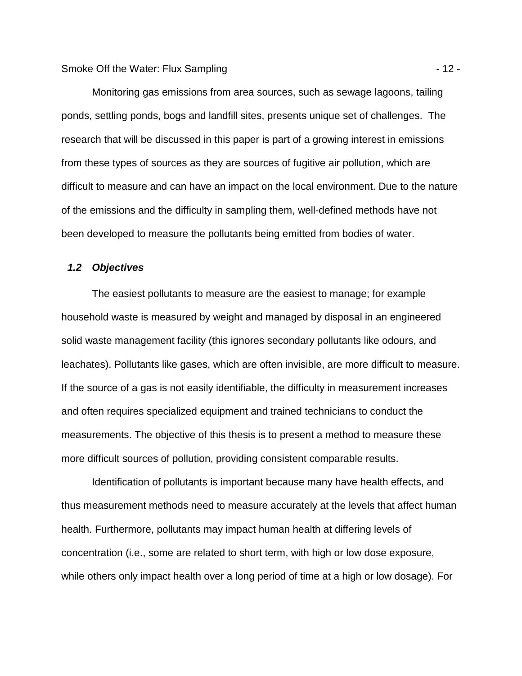Monitoring gas emissions from area sources, such as sewage lagoons, tailing ponds, settling ponds, bogs and landfill sites, presents unique set of challenges. The research that will be discussed in this paper is part of a growing interest in emissions from these types of sources as they are sources of fugitive air pollution, which are difficult to measure and can have an impact on the local environment. Due to the nature of the emissions and the difficulty in sampling them, well-defined methods have not been developed to measure the pollutants being emitted from bodies of water.

# **1.2 Objectives**

The easiest pollutants to measure are the easiest to manage; for example household waste is measured by weight and managed by disposal in an engineered solid waste management facility (this ignores secondary pollutants like odours, and leachates). Pollutants like gases, which are often invisible, are more difficult to measure. If the source of a gas is not easily identifiable, the difficulty in measurement increases and often requires specialized equipment and trained technicians to conduct the measurements. The objective of this thesis is to present a method to measure these more difficult sources of pollution, providing consistent comparable results.

Identification of pollutants is important because many have health effects, and thus measurement methods need to measure accurately at the levels that affect human health. Furthermore, pollutants may impact human health at differing levels of concentration (i.e., some are related to short term, with high or low dose exposure, while others only impact health over a long period of time at a high or low dosage). For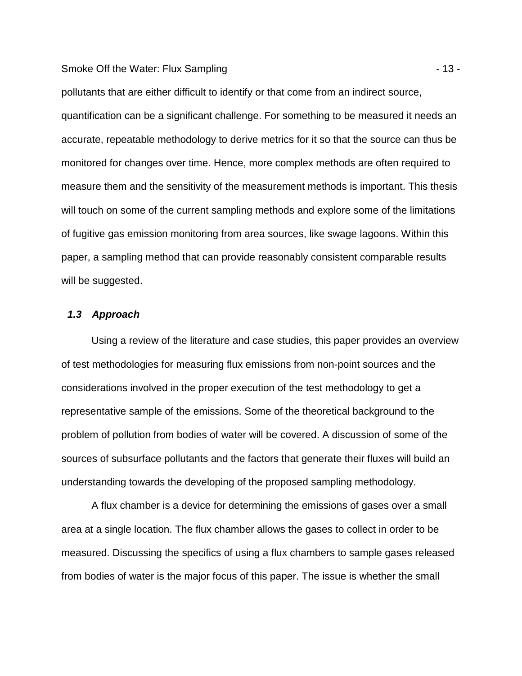#### Smoke Off the Water: Flux Sampling - 13 -

pollutants that are either difficult to identify or that come from an indirect source, quantification can be a significant challenge. For something to be measured it needs an accurate, repeatable methodology to derive metrics for it so that the source can thus be monitored for changes over time. Hence, more complex methods are often required to measure them and the sensitivity of the measurement methods is important. This thesis will touch on some of the current sampling methods and explore some of the limitations of fugitive gas emission monitoring from area sources, like swage lagoons. Within this paper, a sampling method that can provide reasonably consistent comparable results will be suggested.

# **1.3 Approach**

Using a review of the literature and case studies, this paper provides an overview of test methodologies for measuring flux emissions from non-point sources and the considerations involved in the proper execution of the test methodology to get a representative sample of the emissions. Some of the theoretical background to the problem of pollution from bodies of water will be covered. A discussion of some of the sources of subsurface pollutants and the factors that generate their fluxes will build an understanding towards the developing of the proposed sampling methodology.

A flux chamber is a device for determining the emissions of gases over a small area at a single location. The flux chamber allows the gases to collect in order to be measured. Discussing the specifics of using a flux chambers to sample gases released from bodies of water is the major focus of this paper. The issue is whether the small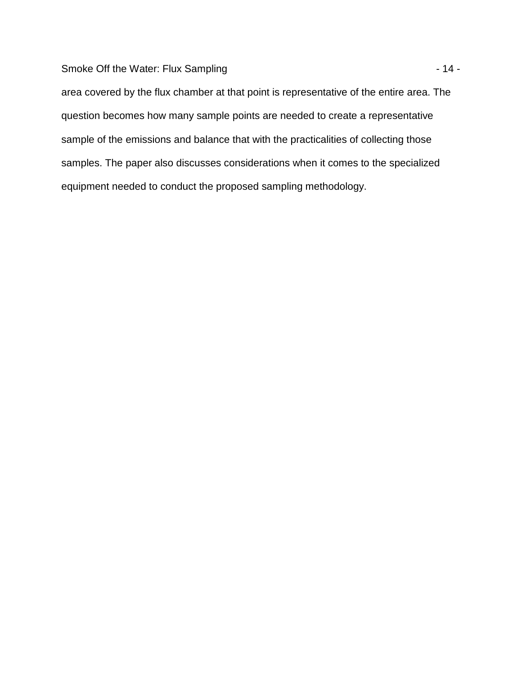Smoke Off the Water: Flux Sampling  $-14 -$ 

area covered by the flux chamber at that point is representative of the entire area. The question becomes how many sample points are needed to create a representative sample of the emissions and balance that with the practicalities of collecting those samples. The paper also discusses considerations when it comes to the specialized equipment needed to conduct the proposed sampling methodology.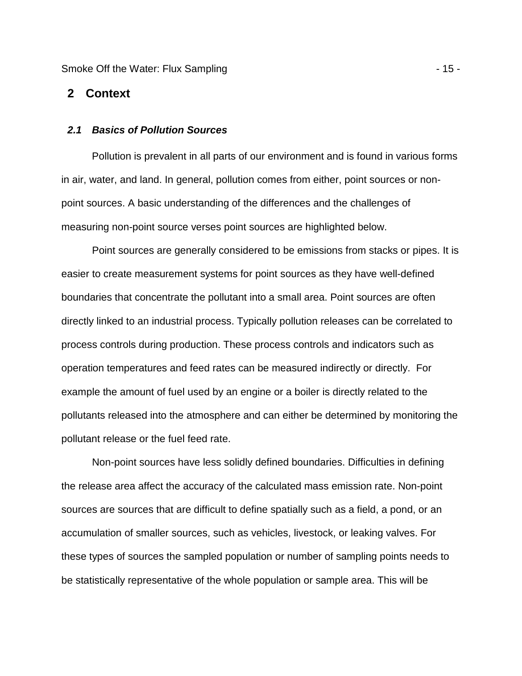Smoke Off the Water: Flux Sampling - 15 -

#### **2 Context**

#### **2.1 Basics of Pollution Sources**

Pollution is prevalent in all parts of our environment and is found in various forms in air, water, and land. In general, pollution comes from either, point sources or nonpoint sources. A basic understanding of the differences and the challenges of measuring non-point source verses point sources are highlighted below.

Point sources are generally considered to be emissions from stacks or pipes. It is easier to create measurement systems for point sources as they have well-defined boundaries that concentrate the pollutant into a small area. Point sources are often directly linked to an industrial process. Typically pollution releases can be correlated to process controls during production. These process controls and indicators such as operation temperatures and feed rates can be measured indirectly or directly. For example the amount of fuel used by an engine or a boiler is directly related to the pollutants released into the atmosphere and can either be determined by monitoring the pollutant release or the fuel feed rate.

Non-point sources have less solidly defined boundaries. Difficulties in defining the release area affect the accuracy of the calculated mass emission rate. Non-point sources are sources that are difficult to define spatially such as a field, a pond, or an accumulation of smaller sources, such as vehicles, livestock, or leaking valves. For these types of sources the sampled population or number of sampling points needs to be statistically representative of the whole population or sample area. This will be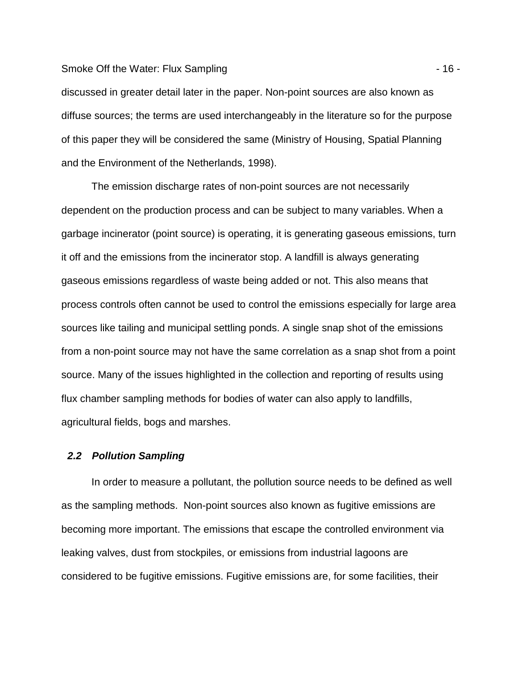#### Smoke Off the Water: Flux Sampling - 16 -

discussed in greater detail later in the paper. Non-point sources are also known as diffuse sources; the terms are used interchangeably in the literature so for the purpose of this paper they will be considered the same (Ministry of Housing, Spatial Planning and the Environment of the Netherlands, 1998).

The emission discharge rates of non-point sources are not necessarily dependent on the production process and can be subject to many variables. When a garbage incinerator (point source) is operating, it is generating gaseous emissions, turn it off and the emissions from the incinerator stop. A landfill is always generating gaseous emissions regardless of waste being added or not. This also means that process controls often cannot be used to control the emissions especially for large area sources like tailing and municipal settling ponds. A single snap shot of the emissions from a non-point source may not have the same correlation as a snap shot from a point source. Many of the issues highlighted in the collection and reporting of results using flux chamber sampling methods for bodies of water can also apply to landfills, agricultural fields, bogs and marshes.

#### **2.2 Pollution Sampling**

In order to measure a pollutant, the pollution source needs to be defined as well as the sampling methods. Non-point sources also known as fugitive emissions are becoming more important. The emissions that escape the controlled environment via leaking valves, dust from stockpiles, or emissions from industrial lagoons are considered to be fugitive emissions. Fugitive emissions are, for some facilities, their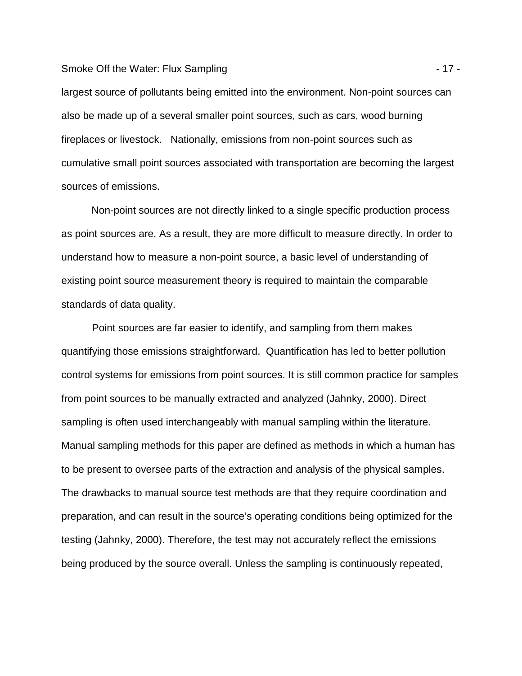#### Smoke Off the Water: Flux Sampling - 17 -

largest source of pollutants being emitted into the environment. Non-point sources can also be made up of a several smaller point sources, such as cars, wood burning fireplaces or livestock. Nationally, emissions from non-point sources such as cumulative small point sources associated with transportation are becoming the largest sources of emissions.

Non-point sources are not directly linked to a single specific production process as point sources are. As a result, they are more difficult to measure directly. In order to understand how to measure a non-point source, a basic level of understanding of existing point source measurement theory is required to maintain the comparable standards of data quality.

Point sources are far easier to identify, and sampling from them makes quantifying those emissions straightforward. Quantification has led to better pollution control systems for emissions from point sources. It is still common practice for samples from point sources to be manually extracted and analyzed (Jahnky, 2000). Direct sampling is often used interchangeably with manual sampling within the literature. Manual sampling methods for this paper are defined as methods in which a human has to be present to oversee parts of the extraction and analysis of the physical samples. The drawbacks to manual source test methods are that they require coordination and preparation, and can result in the source's operating conditions being optimized for the testing (Jahnky, 2000). Therefore, the test may not accurately reflect the emissions being produced by the source overall. Unless the sampling is continuously repeated,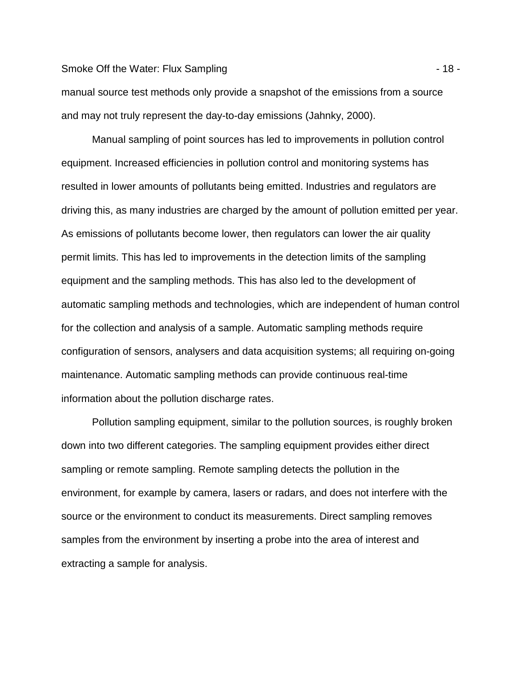#### Smoke Off the Water: Flux Sampling - 18 -

manual source test methods only provide a snapshot of the emissions from a source and may not truly represent the day-to-day emissions (Jahnky, 2000).

Manual sampling of point sources has led to improvements in pollution control equipment. Increased efficiencies in pollution control and monitoring systems has resulted in lower amounts of pollutants being emitted. Industries and regulators are driving this, as many industries are charged by the amount of pollution emitted per year. As emissions of pollutants become lower, then regulators can lower the air quality permit limits. This has led to improvements in the detection limits of the sampling equipment and the sampling methods. This has also led to the development of automatic sampling methods and technologies, which are independent of human control for the collection and analysis of a sample. Automatic sampling methods require configuration of sensors, analysers and data acquisition systems; all requiring on-going maintenance. Automatic sampling methods can provide continuous real-time information about the pollution discharge rates.

Pollution sampling equipment, similar to the pollution sources, is roughly broken down into two different categories. The sampling equipment provides either direct sampling or remote sampling. Remote sampling detects the pollution in the environment, for example by camera, lasers or radars, and does not interfere with the source or the environment to conduct its measurements. Direct sampling removes samples from the environment by inserting a probe into the area of interest and extracting a sample for analysis.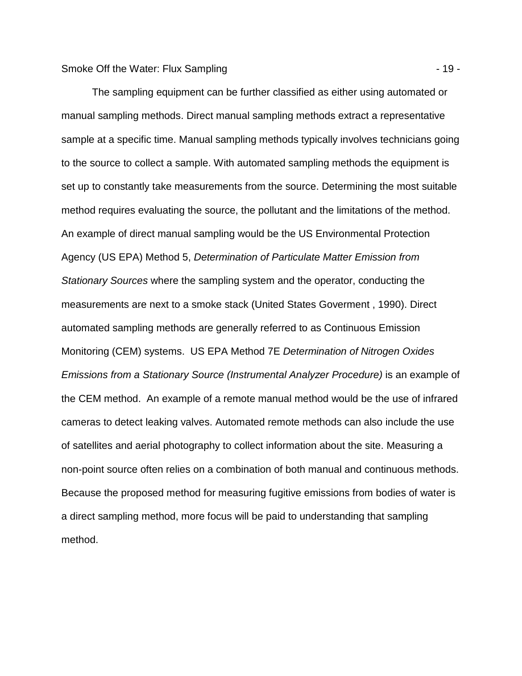The sampling equipment can be further classified as either using automated or manual sampling methods. Direct manual sampling methods extract a representative sample at a specific time. Manual sampling methods typically involves technicians going to the source to collect a sample. With automated sampling methods the equipment is set up to constantly take measurements from the source. Determining the most suitable method requires evaluating the source, the pollutant and the limitations of the method. An example of direct manual sampling would be the US Environmental Protection Agency (US EPA) Method 5, Determination of Particulate Matter Emission from Stationary Sources where the sampling system and the operator, conducting the measurements are next to a smoke stack (United States Goverment , 1990). Direct automated sampling methods are generally referred to as Continuous Emission Monitoring (CEM) systems. US EPA Method 7E Determination of Nitrogen Oxides Emissions from a Stationary Source (Instrumental Analyzer Procedure) is an example of the CEM method. An example of a remote manual method would be the use of infrared cameras to detect leaking valves. Automated remote methods can also include the use of satellites and aerial photography to collect information about the site. Measuring a non-point source often relies on a combination of both manual and continuous methods. Because the proposed method for measuring fugitive emissions from bodies of water is a direct sampling method, more focus will be paid to understanding that sampling method.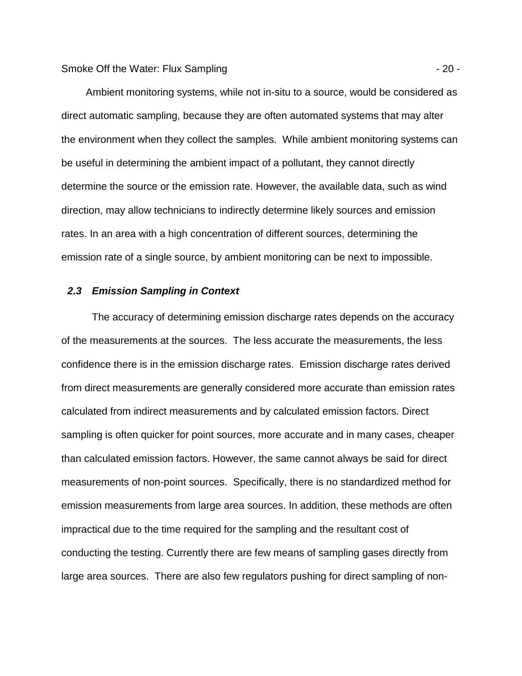Ambient monitoring systems, while not in-situ to a source, would be considered as direct automatic sampling, because they are often automated systems that may alter the environment when they collect the samples. While ambient monitoring systems can be useful in determining the ambient impact of a pollutant, they cannot directly determine the source or the emission rate. However, the available data, such as wind direction, may allow technicians to indirectly determine likely sources and emission rates. In an area with a high concentration of different sources, determining the emission rate of a single source, by ambient monitoring can be next to impossible.

# **2.3 Emission Sampling in Context**

The accuracy of determining emission discharge rates depends on the accuracy of the measurements at the sources. The less accurate the measurements, the less confidence there is in the emission discharge rates. Emission discharge rates derived from direct measurements are generally considered more accurate than emission rates calculated from indirect measurements and by calculated emission factors. Direct sampling is often quicker for point sources, more accurate and in many cases, cheaper than calculated emission factors. However, the same cannot always be said for direct measurements of non-point sources. Specifically, there is no standardized method for emission measurements from large area sources. In addition, these methods are often impractical due to the time required for the sampling and the resultant cost of conducting the testing. Currently there are few means of sampling gases directly from large area sources. There are also few regulators pushing for direct sampling of non-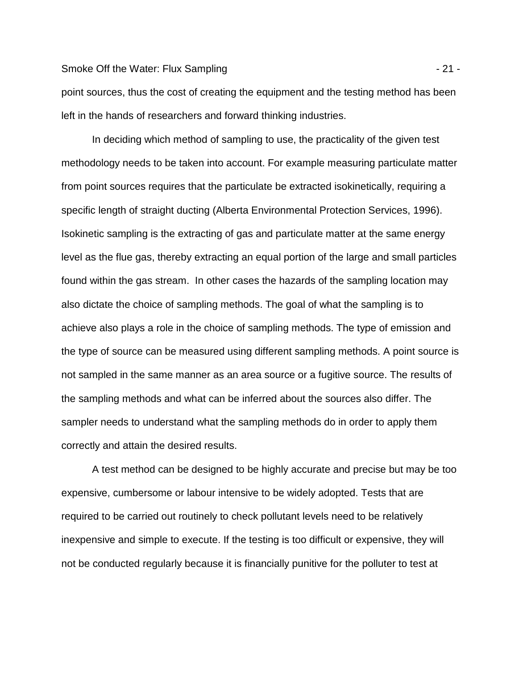#### Smoke Off the Water: Flux Sampling - 21 -

point sources, thus the cost of creating the equipment and the testing method has been left in the hands of researchers and forward thinking industries.

In deciding which method of sampling to use, the practicality of the given test methodology needs to be taken into account. For example measuring particulate matter from point sources requires that the particulate be extracted isokinetically, requiring a specific length of straight ducting (Alberta Environmental Protection Services, 1996). Isokinetic sampling is the extracting of gas and particulate matter at the same energy level as the flue gas, thereby extracting an equal portion of the large and small particles found within the gas stream. In other cases the hazards of the sampling location may also dictate the choice of sampling methods. The goal of what the sampling is to achieve also plays a role in the choice of sampling methods. The type of emission and the type of source can be measured using different sampling methods. A point source is not sampled in the same manner as an area source or a fugitive source. The results of the sampling methods and what can be inferred about the sources also differ. The sampler needs to understand what the sampling methods do in order to apply them correctly and attain the desired results.

A test method can be designed to be highly accurate and precise but may be too expensive, cumbersome or labour intensive to be widely adopted. Tests that are required to be carried out routinely to check pollutant levels need to be relatively inexpensive and simple to execute. If the testing is too difficult or expensive, they will not be conducted regularly because it is financially punitive for the polluter to test at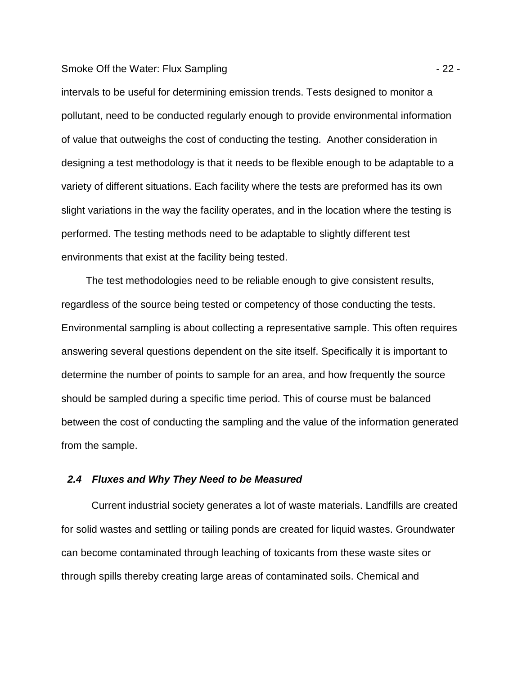#### Smoke Off the Water: Flux Sampling - 22 -

intervals to be useful for determining emission trends. Tests designed to monitor a pollutant, need to be conducted regularly enough to provide environmental information of value that outweighs the cost of conducting the testing. Another consideration in designing a test methodology is that it needs to be flexible enough to be adaptable to a variety of different situations. Each facility where the tests are preformed has its own slight variations in the way the facility operates, and in the location where the testing is performed. The testing methods need to be adaptable to slightly different test environments that exist at the facility being tested.

The test methodologies need to be reliable enough to give consistent results, regardless of the source being tested or competency of those conducting the tests. Environmental sampling is about collecting a representative sample. This often requires answering several questions dependent on the site itself. Specifically it is important to determine the number of points to sample for an area, and how frequently the source should be sampled during a specific time period. This of course must be balanced between the cost of conducting the sampling and the value of the information generated from the sample.

## **2.4 Fluxes and Why They Need to be Measured**

Current industrial society generates a lot of waste materials. Landfills are created for solid wastes and settling or tailing ponds are created for liquid wastes. Groundwater can become contaminated through leaching of toxicants from these waste sites or through spills thereby creating large areas of contaminated soils. Chemical and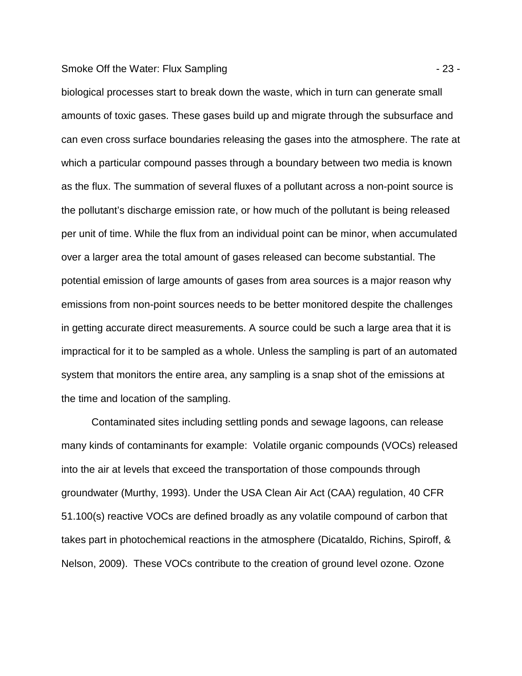#### Smoke Off the Water: Flux Sampling - 23 -

biological processes start to break down the waste, which in turn can generate small amounts of toxic gases. These gases build up and migrate through the subsurface and can even cross surface boundaries releasing the gases into the atmosphere. The rate at which a particular compound passes through a boundary between two media is known as the flux. The summation of several fluxes of a pollutant across a non-point source is the pollutant's discharge emission rate, or how much of the pollutant is being released per unit of time. While the flux from an individual point can be minor, when accumulated over a larger area the total amount of gases released can become substantial. The potential emission of large amounts of gases from area sources is a major reason why emissions from non-point sources needs to be better monitored despite the challenges in getting accurate direct measurements. A source could be such a large area that it is impractical for it to be sampled as a whole. Unless the sampling is part of an automated system that monitors the entire area, any sampling is a snap shot of the emissions at the time and location of the sampling.

Contaminated sites including settling ponds and sewage lagoons, can release many kinds of contaminants for example: Volatile organic compounds (VOCs) released into the air at levels that exceed the transportation of those compounds through groundwater (Murthy, 1993). Under the USA Clean Air Act (CAA) regulation, 40 CFR 51.100(s) reactive VOCs are defined broadly as any volatile compound of carbon that takes part in photochemical reactions in the atmosphere (Dicataldo, Richins, Spiroff, & Nelson, 2009). These VOCs contribute to the creation of ground level ozone. Ozone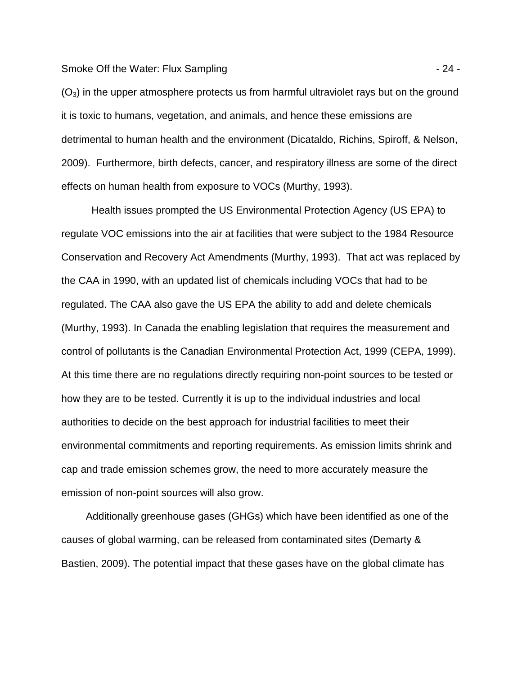Smoke Off the Water: Flux Sampling - 24 -

 $(O<sub>3</sub>)$  in the upper atmosphere protects us from harmful ultraviolet rays but on the ground it is toxic to humans, vegetation, and animals, and hence these emissions are detrimental to human health and the environment (Dicataldo, Richins, Spiroff, & Nelson, 2009). Furthermore, birth defects, cancer, and respiratory illness are some of the direct effects on human health from exposure to VOCs (Murthy, 1993).

Health issues prompted the US Environmental Protection Agency (US EPA) to regulate VOC emissions into the air at facilities that were subject to the 1984 Resource Conservation and Recovery Act Amendments (Murthy, 1993). That act was replaced by the CAA in 1990, with an updated list of chemicals including VOCs that had to be regulated. The CAA also gave the US EPA the ability to add and delete chemicals (Murthy, 1993). In Canada the enabling legislation that requires the measurement and control of pollutants is the Canadian Environmental Protection Act, 1999 (CEPA, 1999). At this time there are no regulations directly requiring non-point sources to be tested or how they are to be tested. Currently it is up to the individual industries and local authorities to decide on the best approach for industrial facilities to meet their environmental commitments and reporting requirements. As emission limits shrink and cap and trade emission schemes grow, the need to more accurately measure the emission of non-point sources will also grow.

Additionally greenhouse gases (GHGs) which have been identified as one of the causes of global warming, can be released from contaminated sites (Demarty & Bastien, 2009). The potential impact that these gases have on the global climate has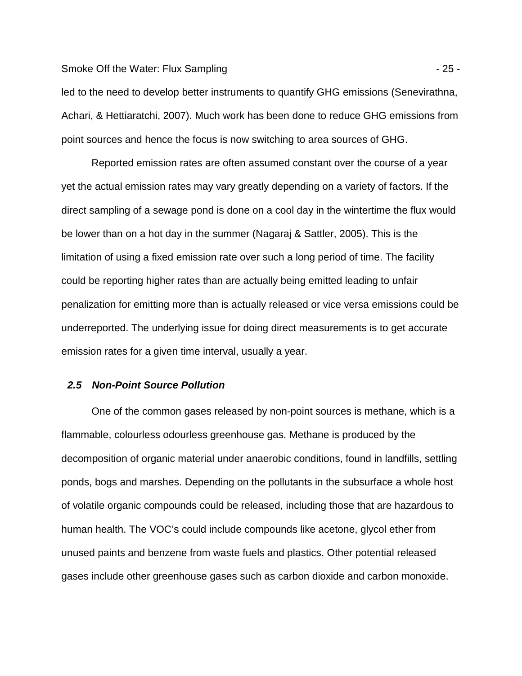#### Smoke Off the Water: Flux Sampling - 25 -

led to the need to develop better instruments to quantify GHG emissions (Senevirathna, Achari, & Hettiaratchi, 2007). Much work has been done to reduce GHG emissions from point sources and hence the focus is now switching to area sources of GHG.

Reported emission rates are often assumed constant over the course of a year yet the actual emission rates may vary greatly depending on a variety of factors. If the direct sampling of a sewage pond is done on a cool day in the wintertime the flux would be lower than on a hot day in the summer (Nagaraj & Sattler, 2005). This is the limitation of using a fixed emission rate over such a long period of time. The facility could be reporting higher rates than are actually being emitted leading to unfair penalization for emitting more than is actually released or vice versa emissions could be underreported. The underlying issue for doing direct measurements is to get accurate emission rates for a given time interval, usually a year.

## **2.5 Non-Point Source Pollution**

One of the common gases released by non-point sources is methane, which is a flammable, colourless odourless greenhouse gas. Methane is produced by the decomposition of organic material under anaerobic conditions, found in landfills, settling ponds, bogs and marshes. Depending on the pollutants in the subsurface a whole host of volatile organic compounds could be released, including those that are hazardous to human health. The VOC's could include compounds like acetone, glycol ether from unused paints and benzene from waste fuels and plastics. Other potential released gases include other greenhouse gases such as carbon dioxide and carbon monoxide.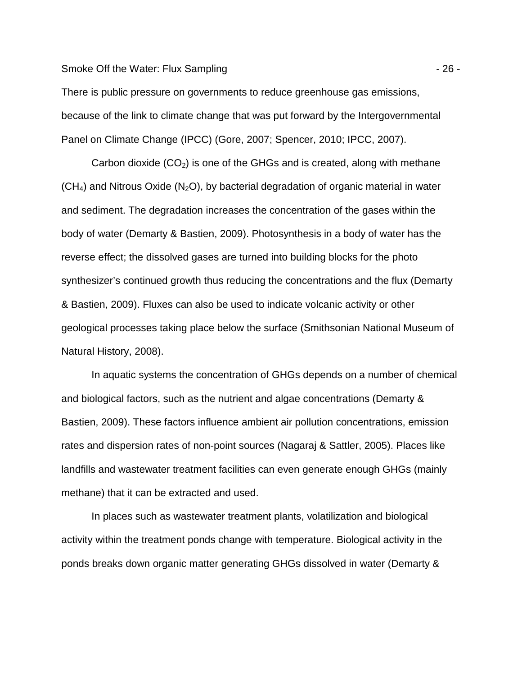Smoke Off the Water: Flux Sampling - 26 -

There is public pressure on governments to reduce greenhouse gas emissions, because of the link to climate change that was put forward by the Intergovernmental Panel on Climate Change (IPCC) (Gore, 2007; Spencer, 2010; IPCC, 2007).

Carbon dioxide  $(CO_2)$  is one of the GHGs and is created, along with methane  $(CH<sub>4</sub>)$  and Nitrous Oxide (N<sub>2</sub>O), by bacterial degradation of organic material in water and sediment. The degradation increases the concentration of the gases within the body of water (Demarty & Bastien, 2009). Photosynthesis in a body of water has the reverse effect; the dissolved gases are turned into building blocks for the photo synthesizer's continued growth thus reducing the concentrations and the flux (Demarty & Bastien, 2009). Fluxes can also be used to indicate volcanic activity or other geological processes taking place below the surface (Smithsonian National Museum of Natural History, 2008).

In aquatic systems the concentration of GHGs depends on a number of chemical and biological factors, such as the nutrient and algae concentrations (Demarty & Bastien, 2009). These factors influence ambient air pollution concentrations, emission rates and dispersion rates of non-point sources (Nagaraj & Sattler, 2005). Places like landfills and wastewater treatment facilities can even generate enough GHGs (mainly methane) that it can be extracted and used.

In places such as wastewater treatment plants, volatilization and biological activity within the treatment ponds change with temperature. Biological activity in the ponds breaks down organic matter generating GHGs dissolved in water (Demarty &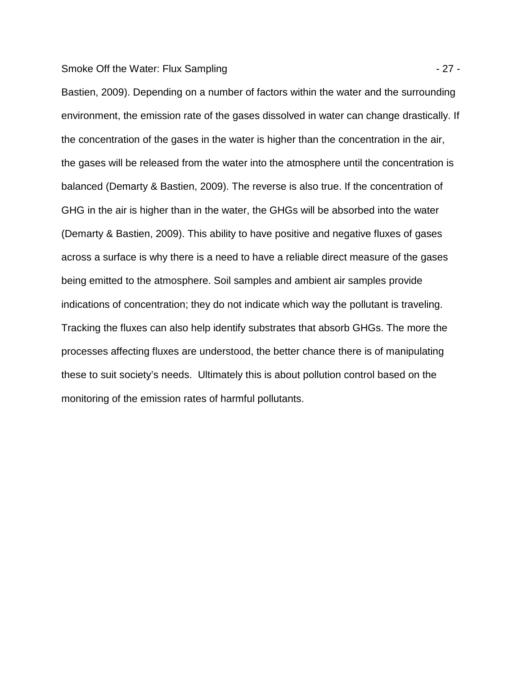#### Smoke Off the Water: Flux Sampling - 27 -

Bastien, 2009). Depending on a number of factors within the water and the surrounding environment, the emission rate of the gases dissolved in water can change drastically. If the concentration of the gases in the water is higher than the concentration in the air, the gases will be released from the water into the atmosphere until the concentration is balanced (Demarty & Bastien, 2009). The reverse is also true. If the concentration of GHG in the air is higher than in the water, the GHGs will be absorbed into the water (Demarty & Bastien, 2009). This ability to have positive and negative fluxes of gases across a surface is why there is a need to have a reliable direct measure of the gases being emitted to the atmosphere. Soil samples and ambient air samples provide indications of concentration; they do not indicate which way the pollutant is traveling. Tracking the fluxes can also help identify substrates that absorb GHGs. The more the processes affecting fluxes are understood, the better chance there is of manipulating these to suit society's needs. Ultimately this is about pollution control based on the monitoring of the emission rates of harmful pollutants.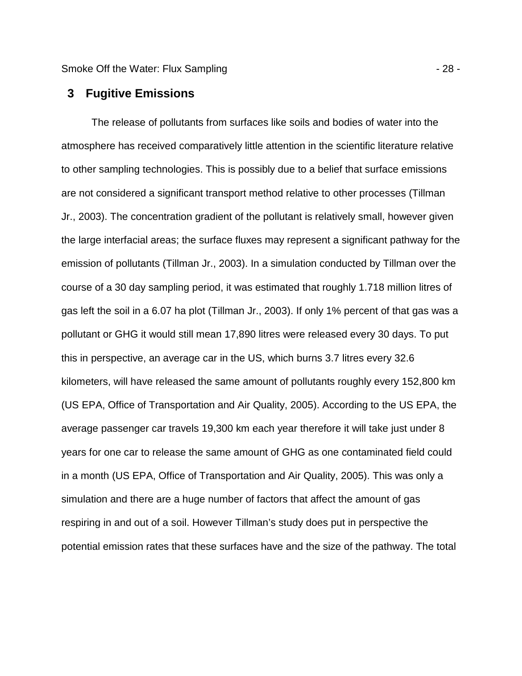Smoke Off the Water: Flux Sampling - 28 -

# **3 Fugitive Emissions**

The release of pollutants from surfaces like soils and bodies of water into the atmosphere has received comparatively little attention in the scientific literature relative to other sampling technologies. This is possibly due to a belief that surface emissions are not considered a significant transport method relative to other processes (Tillman Jr., 2003). The concentration gradient of the pollutant is relatively small, however given the large interfacial areas; the surface fluxes may represent a significant pathway for the emission of pollutants (Tillman Jr., 2003). In a simulation conducted by Tillman over the course of a 30 day sampling period, it was estimated that roughly 1.718 million litres of gas left the soil in a 6.07 ha plot (Tillman Jr., 2003). If only 1% percent of that gas was a pollutant or GHG it would still mean 17,890 litres were released every 30 days. To put this in perspective, an average car in the US, which burns 3.7 litres every 32.6 kilometers, will have released the same amount of pollutants roughly every 152,800 km (US EPA, Office of Transportation and Air Quality, 2005). According to the US EPA, the average passenger car travels 19,300 km each year therefore it will take just under 8 years for one car to release the same amount of GHG as one contaminated field could in a month (US EPA, Office of Transportation and Air Quality, 2005). This was only a simulation and there are a huge number of factors that affect the amount of gas respiring in and out of a soil. However Tillman's study does put in perspective the potential emission rates that these surfaces have and the size of the pathway. The total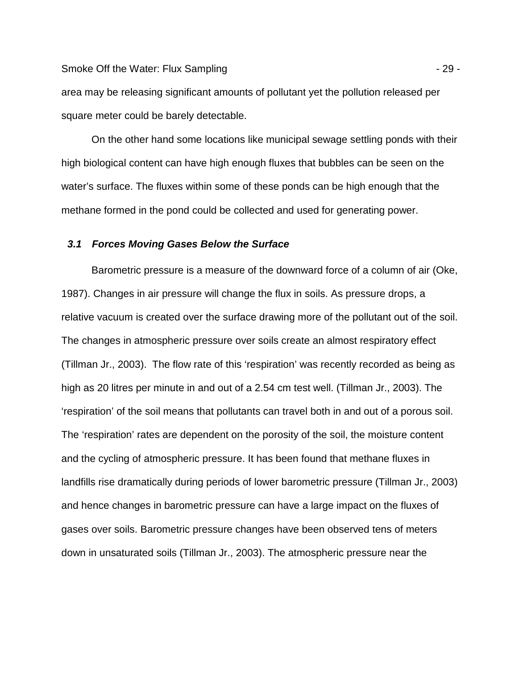Smoke Off the Water: Flux Sampling - 29 -

area may be releasing significant amounts of pollutant yet the pollution released per square meter could be barely detectable.

On the other hand some locations like municipal sewage settling ponds with their high biological content can have high enough fluxes that bubbles can be seen on the water's surface. The fluxes within some of these ponds can be high enough that the methane formed in the pond could be collected and used for generating power.

## **3.1 Forces Moving Gases Below the Surface**

Barometric pressure is a measure of the downward force of a column of air (Oke, 1987). Changes in air pressure will change the flux in soils. As pressure drops, a relative vacuum is created over the surface drawing more of the pollutant out of the soil. The changes in atmospheric pressure over soils create an almost respiratory effect (Tillman Jr., 2003). The flow rate of this 'respiration' was recently recorded as being as high as 20 litres per minute in and out of a 2.54 cm test well. (Tillman Jr., 2003). The 'respiration' of the soil means that pollutants can travel both in and out of a porous soil. The 'respiration' rates are dependent on the porosity of the soil, the moisture content and the cycling of atmospheric pressure. It has been found that methane fluxes in landfills rise dramatically during periods of lower barometric pressure (Tillman Jr., 2003) and hence changes in barometric pressure can have a large impact on the fluxes of gases over soils. Barometric pressure changes have been observed tens of meters down in unsaturated soils (Tillman Jr., 2003). The atmospheric pressure near the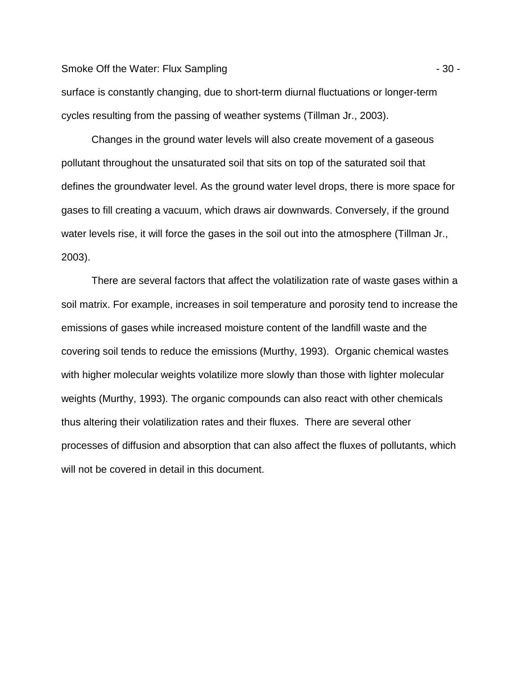Smoke Off the Water: Flux Sampling  $-30 -$ 

surface is constantly changing, due to short-term diurnal fluctuations or longer-term cycles resulting from the passing of weather systems (Tillman Jr., 2003).

Changes in the ground water levels will also create movement of a gaseous pollutant throughout the unsaturated soil that sits on top of the saturated soil that defines the groundwater level. As the ground water level drops, there is more space for gases to fill creating a vacuum, which draws air downwards. Conversely, if the ground water levels rise, it will force the gases in the soil out into the atmosphere (Tillman Jr., 2003).

There are several factors that affect the volatilization rate of waste gases within a soil matrix. For example, increases in soil temperature and porosity tend to increase the emissions of gases while increased moisture content of the landfill waste and the covering soil tends to reduce the emissions (Murthy, 1993). Organic chemical wastes with higher molecular weights volatilize more slowly than those with lighter molecular weights (Murthy, 1993). The organic compounds can also react with other chemicals thus altering their volatilization rates and their fluxes. There are several other processes of diffusion and absorption that can also affect the fluxes of pollutants, which will not be covered in detail in this document.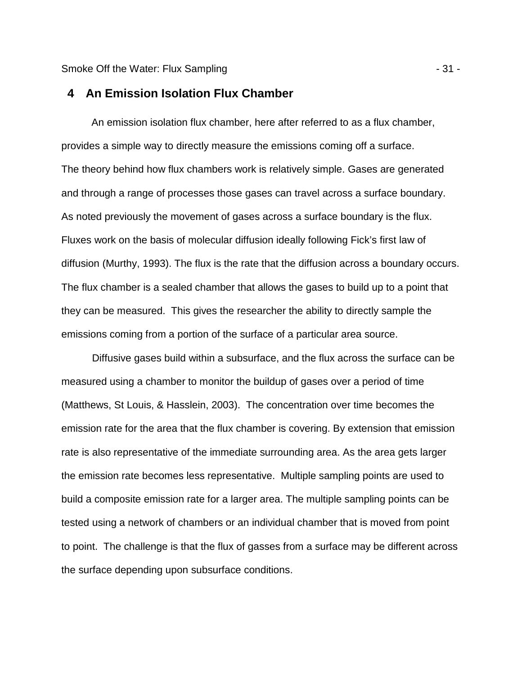Smoke Off the Water: Flux Sampling - 31 -

# **4 An Emission Isolation Flux Chamber**

An emission isolation flux chamber, here after referred to as a flux chamber, provides a simple way to directly measure the emissions coming off a surface. The theory behind how flux chambers work is relatively simple. Gases are generated and through a range of processes those gases can travel across a surface boundary. As noted previously the movement of gases across a surface boundary is the flux. Fluxes work on the basis of molecular diffusion ideally following Fick's first law of diffusion (Murthy, 1993). The flux is the rate that the diffusion across a boundary occurs. The flux chamber is a sealed chamber that allows the gases to build up to a point that they can be measured. This gives the researcher the ability to directly sample the emissions coming from a portion of the surface of a particular area source.

Diffusive gases build within a subsurface, and the flux across the surface can be measured using a chamber to monitor the buildup of gases over a period of time (Matthews, St Louis, & Hasslein, 2003). The concentration over time becomes the emission rate for the area that the flux chamber is covering. By extension that emission rate is also representative of the immediate surrounding area. As the area gets larger the emission rate becomes less representative. Multiple sampling points are used to build a composite emission rate for a larger area. The multiple sampling points can be tested using a network of chambers or an individual chamber that is moved from point to point. The challenge is that the flux of gasses from a surface may be different across the surface depending upon subsurface conditions.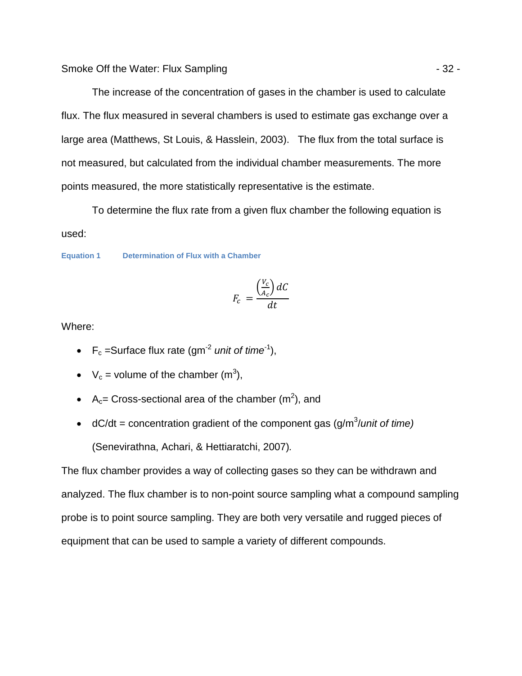The increase of the concentration of gases in the chamber is used to calculate flux. The flux measured in several chambers is used to estimate gas exchange over a large area (Matthews, St Louis, & Hasslein, 2003). The flux from the total surface is not measured, but calculated from the individual chamber measurements. The more points measured, the more statistically representative is the estimate.

To determine the flux rate from a given flux chamber the following equation is used:

#### **Equation 1 Determination of Flux with a Chamber**

$$
F_c = \frac{\left(\frac{V_c}{A_c}\right)dC}{dt}
$$

Where:

- $F_c$  =Surface flux rate (gm<sup>-2</sup> unit of time<sup>-1</sup>),
- $V_c$  = volume of the chamber (m<sup>3</sup>),
- A<sub>c</sub>= Cross-sectional area of the chamber  $(m^2)$ , and
- dC/dt = concentration gradient of the component gas  $(g/m<sup>3</sup>/unit of time)$ (Senevirathna, Achari, & Hettiaratchi, 2007).

The flux chamber provides a way of collecting gases so they can be withdrawn and analyzed. The flux chamber is to non-point source sampling what a compound sampling probe is to point source sampling. They are both very versatile and rugged pieces of equipment that can be used to sample a variety of different compounds.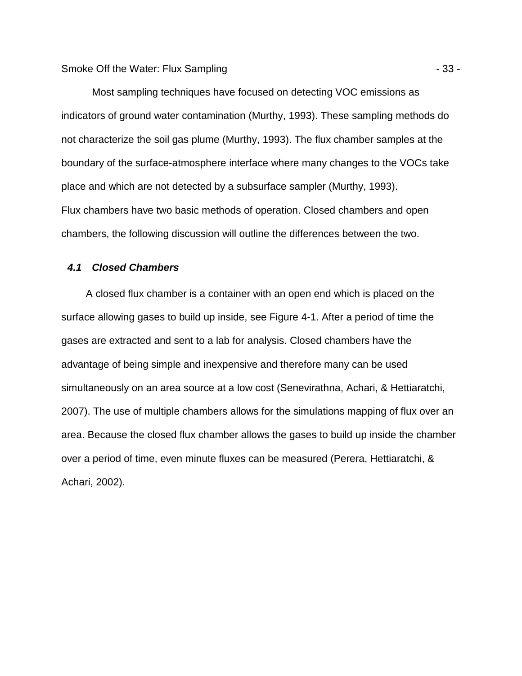Most sampling techniques have focused on detecting VOC emissions as indicators of ground water contamination (Murthy, 1993). These sampling methods do not characterize the soil gas plume (Murthy, 1993). The flux chamber samples at the boundary of the surface-atmosphere interface where many changes to the VOCs take place and which are not detected by a subsurface sampler (Murthy, 1993). Flux chambers have two basic methods of operation. Closed chambers and open chambers, the following discussion will outline the differences between the two.

## **4.1 Closed Chambers**

A closed flux chamber is a container with an open end which is placed on the surface allowing gases to build up inside, see Figure 4-1. After a period of time the gases are extracted and sent to a lab for analysis. Closed chambers have the advantage of being simple and inexpensive and therefore many can be used simultaneously on an area source at a low cost (Senevirathna, Achari, & Hettiaratchi, 2007). The use of multiple chambers allows for the simulations mapping of flux over an area. Because the closed flux chamber allows the gases to build up inside the chamber over a period of time, even minute fluxes can be measured (Perera, Hettiaratchi, & Achari, 2002).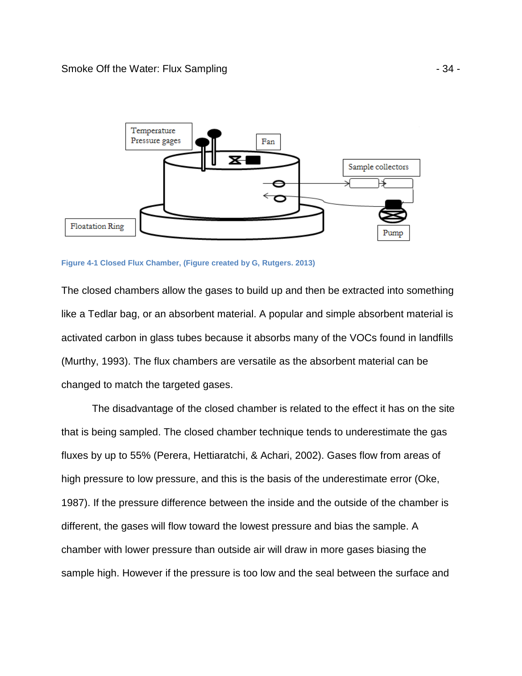

**Figure 4-1 Closed Flux Chamber, (Figure created by G, Rutgers. 2013)** 

The closed chambers allow the gases to build up and then be extracted into something like a Tedlar bag, or an absorbent material. A popular and simple absorbent material is activated carbon in glass tubes because it absorbs many of the VOCs found in landfills (Murthy, 1993). The flux chambers are versatile as the absorbent material can be changed to match the targeted gases.

The disadvantage of the closed chamber is related to the effect it has on the site that is being sampled. The closed chamber technique tends to underestimate the gas fluxes by up to 55% (Perera, Hettiaratchi, & Achari, 2002). Gases flow from areas of high pressure to low pressure, and this is the basis of the underestimate error (Oke, 1987). If the pressure difference between the inside and the outside of the chamber is different, the gases will flow toward the lowest pressure and bias the sample. A chamber with lower pressure than outside air will draw in more gases biasing the sample high. However if the pressure is too low and the seal between the surface and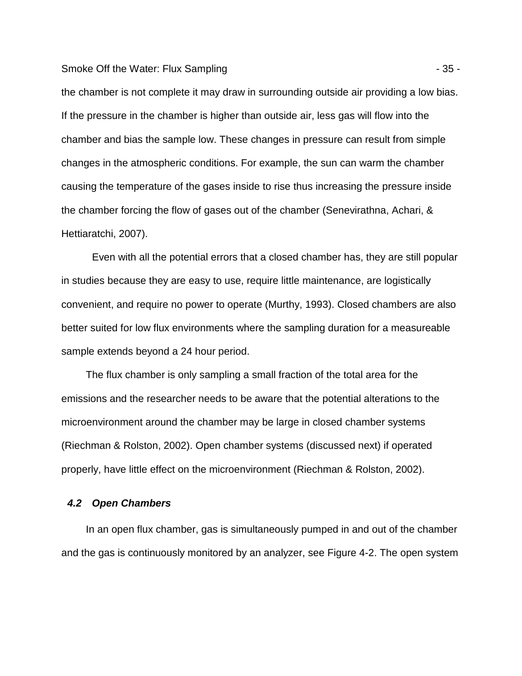#### Smoke Off the Water: Flux Sampling - 35 - 35 -

the chamber is not complete it may draw in surrounding outside air providing a low bias. If the pressure in the chamber is higher than outside air, less gas will flow into the chamber and bias the sample low. These changes in pressure can result from simple changes in the atmospheric conditions. For example, the sun can warm the chamber causing the temperature of the gases inside to rise thus increasing the pressure inside the chamber forcing the flow of gases out of the chamber (Senevirathna, Achari, & Hettiaratchi, 2007).

Even with all the potential errors that a closed chamber has, they are still popular in studies because they are easy to use, require little maintenance, are logistically convenient, and require no power to operate (Murthy, 1993). Closed chambers are also better suited for low flux environments where the sampling duration for a measureable sample extends beyond a 24 hour period.

The flux chamber is only sampling a small fraction of the total area for the emissions and the researcher needs to be aware that the potential alterations to the microenvironment around the chamber may be large in closed chamber systems (Riechman & Rolston, 2002). Open chamber systems (discussed next) if operated properly, have little effect on the microenvironment (Riechman & Rolston, 2002).

## **4.2 Open Chambers**

In an open flux chamber, gas is simultaneously pumped in and out of the chamber and the gas is continuously monitored by an analyzer, see Figure 4-2. The open system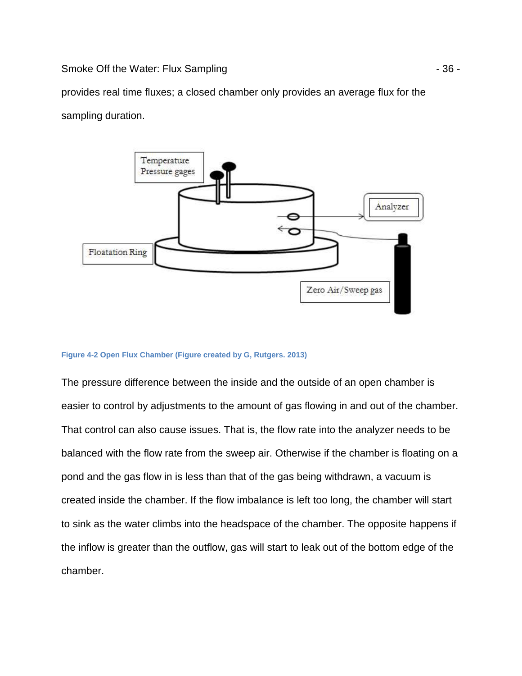Smoke Off the Water: Flux Sampling - 36 -

provides real time fluxes; a closed chamber only provides an average flux for the sampling duration.



#### **Figure 4-2 Open Flux Chamber (Figure created by G, Rutgers. 2013)**

The pressure difference between the inside and the outside of an open chamber is easier to control by adjustments to the amount of gas flowing in and out of the chamber. That control can also cause issues. That is, the flow rate into the analyzer needs to be balanced with the flow rate from the sweep air. Otherwise if the chamber is floating on a pond and the gas flow in is less than that of the gas being withdrawn, a vacuum is created inside the chamber. If the flow imbalance is left too long, the chamber will start to sink as the water climbs into the headspace of the chamber. The opposite happens if the inflow is greater than the outflow, gas will start to leak out of the bottom edge of the chamber.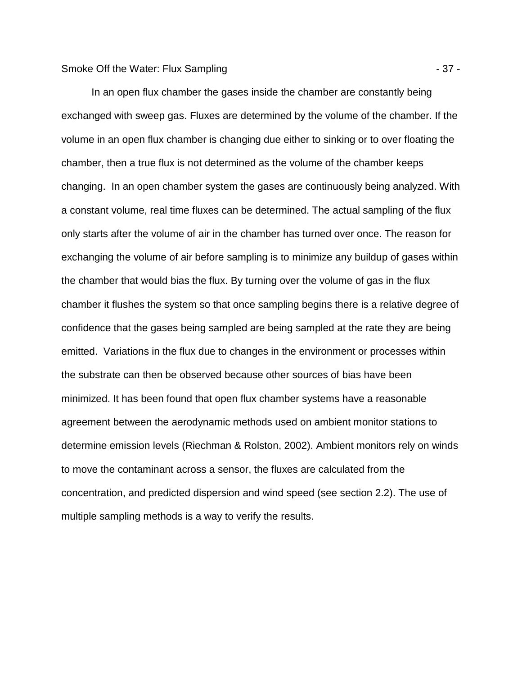### Smoke Off the Water: Flux Sampling - 37 -

In an open flux chamber the gases inside the chamber are constantly being exchanged with sweep gas. Fluxes are determined by the volume of the chamber. If the volume in an open flux chamber is changing due either to sinking or to over floating the chamber, then a true flux is not determined as the volume of the chamber keeps changing. In an open chamber system the gases are continuously being analyzed. With a constant volume, real time fluxes can be determined. The actual sampling of the flux only starts after the volume of air in the chamber has turned over once. The reason for exchanging the volume of air before sampling is to minimize any buildup of gases within the chamber that would bias the flux. By turning over the volume of gas in the flux chamber it flushes the system so that once sampling begins there is a relative degree of confidence that the gases being sampled are being sampled at the rate they are being emitted. Variations in the flux due to changes in the environment or processes within the substrate can then be observed because other sources of bias have been minimized. It has been found that open flux chamber systems have a reasonable agreement between the aerodynamic methods used on ambient monitor stations to determine emission levels (Riechman & Rolston, 2002). Ambient monitors rely on winds to move the contaminant across a sensor, the fluxes are calculated from the concentration, and predicted dispersion and wind speed (see section 2.2). The use of multiple sampling methods is a way to verify the results.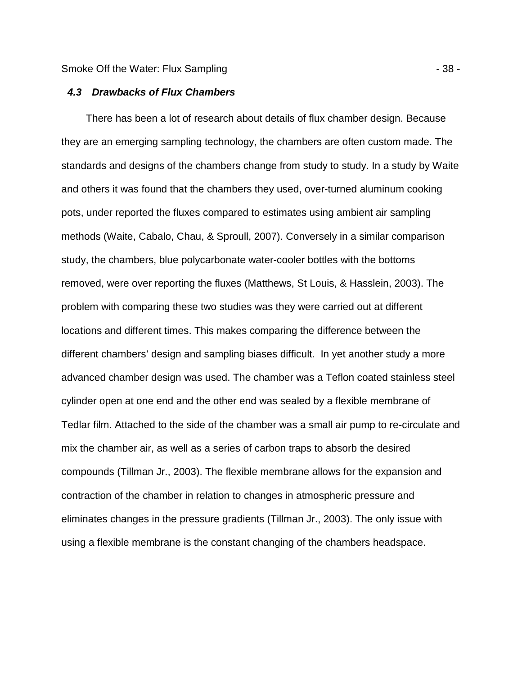### **4.3 Drawbacks of Flux Chambers**

There has been a lot of research about details of flux chamber design. Because they are an emerging sampling technology, the chambers are often custom made. The standards and designs of the chambers change from study to study. In a study by Waite and others it was found that the chambers they used, over-turned aluminum cooking pots, under reported the fluxes compared to estimates using ambient air sampling methods (Waite, Cabalo, Chau, & Sproull, 2007). Conversely in a similar comparison study, the chambers, blue polycarbonate water-cooler bottles with the bottoms removed, were over reporting the fluxes (Matthews, St Louis, & Hasslein, 2003). The problem with comparing these two studies was they were carried out at different locations and different times. This makes comparing the difference between the different chambers' design and sampling biases difficult. In yet another study a more advanced chamber design was used. The chamber was a Teflon coated stainless steel cylinder open at one end and the other end was sealed by a flexible membrane of Tedlar film. Attached to the side of the chamber was a small air pump to re-circulate and mix the chamber air, as well as a series of carbon traps to absorb the desired compounds (Tillman Jr., 2003). The flexible membrane allows for the expansion and contraction of the chamber in relation to changes in atmospheric pressure and eliminates changes in the pressure gradients (Tillman Jr., 2003). The only issue with using a flexible membrane is the constant changing of the chambers headspace.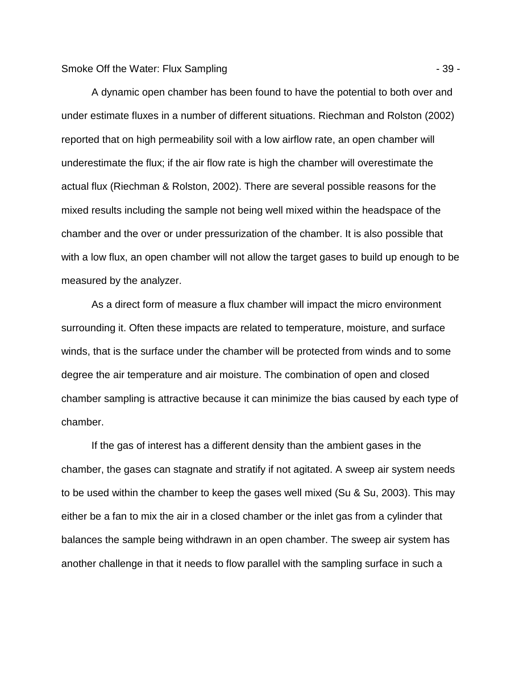A dynamic open chamber has been found to have the potential to both over and under estimate fluxes in a number of different situations. Riechman and Rolston (2002) reported that on high permeability soil with a low airflow rate, an open chamber will underestimate the flux; if the air flow rate is high the chamber will overestimate the actual flux (Riechman & Rolston, 2002). There are several possible reasons for the mixed results including the sample not being well mixed within the headspace of the chamber and the over or under pressurization of the chamber. It is also possible that with a low flux, an open chamber will not allow the target gases to build up enough to be measured by the analyzer.

As a direct form of measure a flux chamber will impact the micro environment surrounding it. Often these impacts are related to temperature, moisture, and surface winds, that is the surface under the chamber will be protected from winds and to some degree the air temperature and air moisture. The combination of open and closed chamber sampling is attractive because it can minimize the bias caused by each type of chamber.

If the gas of interest has a different density than the ambient gases in the chamber, the gases can stagnate and stratify if not agitated. A sweep air system needs to be used within the chamber to keep the gases well mixed (Su & Su, 2003). This may either be a fan to mix the air in a closed chamber or the inlet gas from a cylinder that balances the sample being withdrawn in an open chamber. The sweep air system has another challenge in that it needs to flow parallel with the sampling surface in such a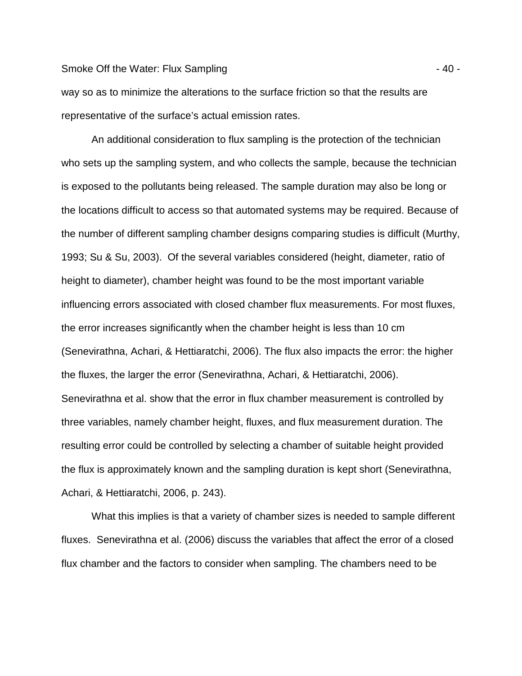#### Smoke Off the Water: Flux Sampling  $\sim$  40 -

way so as to minimize the alterations to the surface friction so that the results are representative of the surface's actual emission rates.

An additional consideration to flux sampling is the protection of the technician who sets up the sampling system, and who collects the sample, because the technician is exposed to the pollutants being released. The sample duration may also be long or the locations difficult to access so that automated systems may be required. Because of the number of different sampling chamber designs comparing studies is difficult (Murthy, 1993; Su & Su, 2003). Of the several variables considered (height, diameter, ratio of height to diameter), chamber height was found to be the most important variable influencing errors associated with closed chamber flux measurements. For most fluxes, the error increases significantly when the chamber height is less than 10 cm (Senevirathna, Achari, & Hettiaratchi, 2006). The flux also impacts the error: the higher the fluxes, the larger the error (Senevirathna, Achari, & Hettiaratchi, 2006). Senevirathna et al. show that the error in flux chamber measurement is controlled by three variables, namely chamber height, fluxes, and flux measurement duration. The resulting error could be controlled by selecting a chamber of suitable height provided the flux is approximately known and the sampling duration is kept short (Senevirathna, Achari, & Hettiaratchi, 2006, p. 243).

What this implies is that a variety of chamber sizes is needed to sample different fluxes. Senevirathna et al. (2006) discuss the variables that affect the error of a closed flux chamber and the factors to consider when sampling. The chambers need to be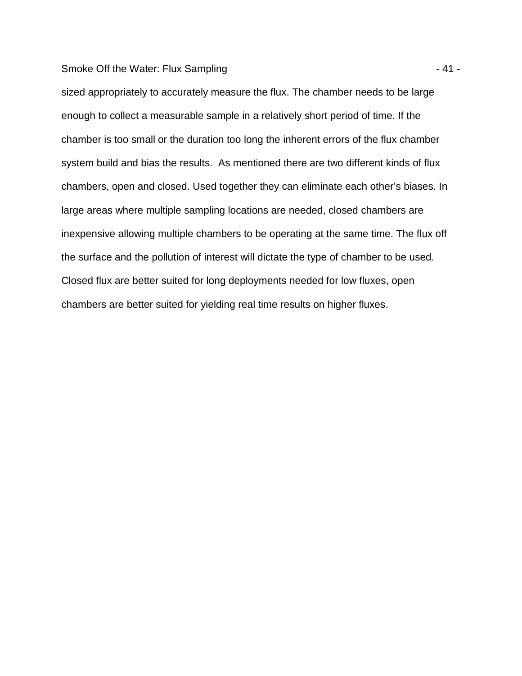### Smoke Off the Water: Flux Sampling  $-41 -$

sized appropriately to accurately measure the flux. The chamber needs to be large enough to collect a measurable sample in a relatively short period of time. If the chamber is too small or the duration too long the inherent errors of the flux chamber system build and bias the results. As mentioned there are two different kinds of flux chambers, open and closed. Used together they can eliminate each other's biases. In large areas where multiple sampling locations are needed, closed chambers are inexpensive allowing multiple chambers to be operating at the same time. The flux off the surface and the pollution of interest will dictate the type of chamber to be used. Closed flux are better suited for long deployments needed for low fluxes, open chambers are better suited for yielding real time results on higher fluxes.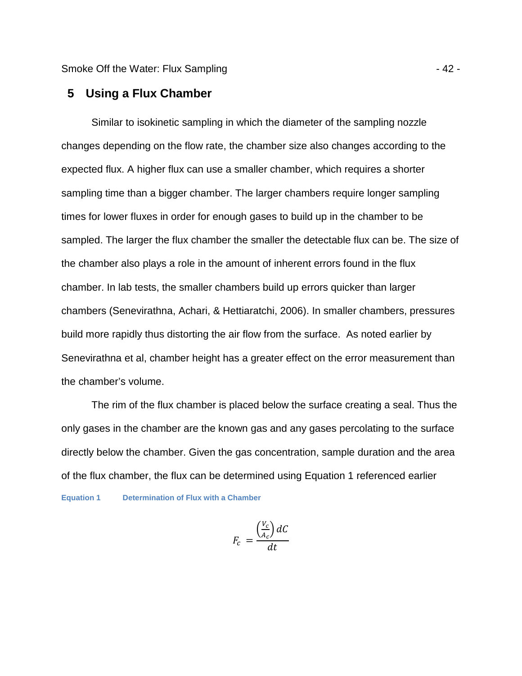Smoke Off the Water: Flux Sampling - 42 -

# **5 Using a Flux Chamber**

Similar to isokinetic sampling in which the diameter of the sampling nozzle changes depending on the flow rate, the chamber size also changes according to the expected flux. A higher flux can use a smaller chamber, which requires a shorter sampling time than a bigger chamber. The larger chambers require longer sampling times for lower fluxes in order for enough gases to build up in the chamber to be sampled. The larger the flux chamber the smaller the detectable flux can be. The size of the chamber also plays a role in the amount of inherent errors found in the flux chamber. In lab tests, the smaller chambers build up errors quicker than larger chambers (Senevirathna, Achari, & Hettiaratchi, 2006). In smaller chambers, pressures build more rapidly thus distorting the air flow from the surface. As noted earlier by Senevirathna et al, chamber height has a greater effect on the error measurement than the chamber's volume.

The rim of the flux chamber is placed below the surface creating a seal. Thus the only gases in the chamber are the known gas and any gases percolating to the surface directly below the chamber. Given the gas concentration, sample duration and the area of the flux chamber, the flux can be determined using Equation 1 referenced earlier **Equation 1 Determination of Flux with a Chamber** 

$$
F_c = \frac{\left(\frac{V_c}{A_c}\right)dC}{dt}
$$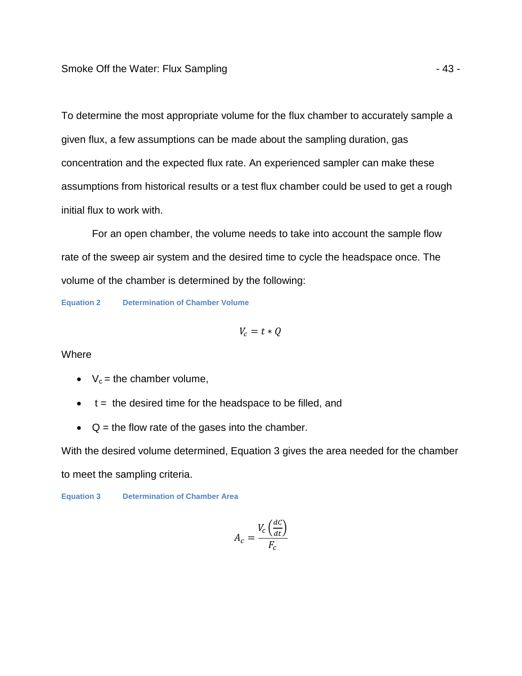To determine the most appropriate volume for the flux chamber to accurately sample a given flux, a few assumptions can be made about the sampling duration, gas concentration and the expected flux rate. An experienced sampler can make these assumptions from historical results or a test flux chamber could be used to get a rough initial flux to work with.

For an open chamber, the volume needs to take into account the sample flow rate of the sweep air system and the desired time to cycle the headspace once. The volume of the chamber is determined by the following:

**Equation 2 Determination of Chamber Volume** 

$$
V_c = t * Q
$$

**Where** 

- $V_c$  = the chamber volume,
- $\bullet$  t = the desired time for the headspace to be filled, and
- $\bullet$   $Q =$  the flow rate of the gases into the chamber.

With the desired volume determined, Equation 3 gives the area needed for the chamber to meet the sampling criteria.

**Equation 3 Determination of Chamber Area** 

$$
A_c = \frac{V_c \left(\frac{dC}{dt}\right)}{F_c}
$$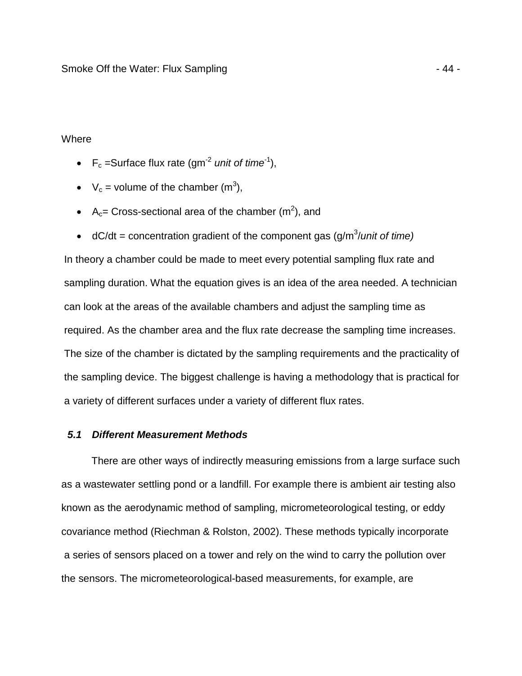# Where

- $F_c$  =Surface flux rate (gm<sup>-2</sup> unit of time<sup>-1</sup>),
- $V_c$  = volume of the chamber (m<sup>3</sup>),
- A<sub>c</sub>= Cross-sectional area of the chamber  $(m^2)$ , and
- dC/dt = concentration gradient of the component gas  $(g/m<sup>3</sup>/unit of time)$

In theory a chamber could be made to meet every potential sampling flux rate and sampling duration. What the equation gives is an idea of the area needed. A technician can look at the areas of the available chambers and adjust the sampling time as required. As the chamber area and the flux rate decrease the sampling time increases. The size of the chamber is dictated by the sampling requirements and the practicality of the sampling device. The biggest challenge is having a methodology that is practical for a variety of different surfaces under a variety of different flux rates.

# **5.1 Different Measurement Methods**

There are other ways of indirectly measuring emissions from a large surface such as a wastewater settling pond or a landfill. For example there is ambient air testing also known as the aerodynamic method of sampling, micrometeorological testing, or eddy covariance method (Riechman & Rolston, 2002). These methods typically incorporate a series of sensors placed on a tower and rely on the wind to carry the pollution over the sensors. The micrometeorological-based measurements, for example, are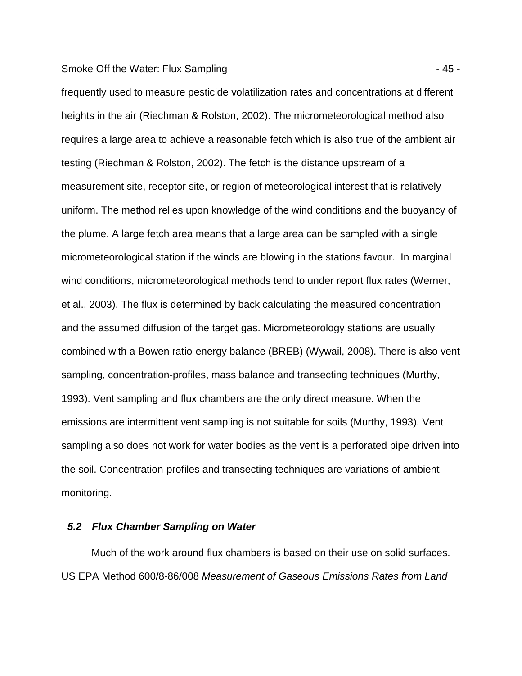#### Smoke Off the Water: Flux Sampling - 45 -

frequently used to measure pesticide volatilization rates and concentrations at different heights in the air (Riechman & Rolston, 2002). The micrometeorological method also requires a large area to achieve a reasonable fetch which is also true of the ambient air testing (Riechman & Rolston, 2002). The fetch is the distance upstream of a measurement site, receptor site, or region of meteorological interest that is relatively uniform. The method relies upon knowledge of the wind conditions and the buoyancy of the plume. A large fetch area means that a large area can be sampled with a single micrometeorological station if the winds are blowing in the stations favour. In marginal wind conditions, micrometeorological methods tend to under report flux rates (Werner, et al., 2003). The flux is determined by back calculating the measured concentration and the assumed diffusion of the target gas. Micrometeorology stations are usually combined with a Bowen ratio-energy balance (BREB) (Wywail, 2008). There is also vent sampling, concentration-profiles, mass balance and transecting techniques (Murthy, 1993). Vent sampling and flux chambers are the only direct measure. When the emissions are intermittent vent sampling is not suitable for soils (Murthy, 1993). Vent sampling also does not work for water bodies as the vent is a perforated pipe driven into the soil. Concentration-profiles and transecting techniques are variations of ambient monitoring.

# **5.2 Flux Chamber Sampling on Water**

Much of the work around flux chambers is based on their use on solid surfaces. US EPA Method 600/8-86/008 Measurement of Gaseous Emissions Rates from Land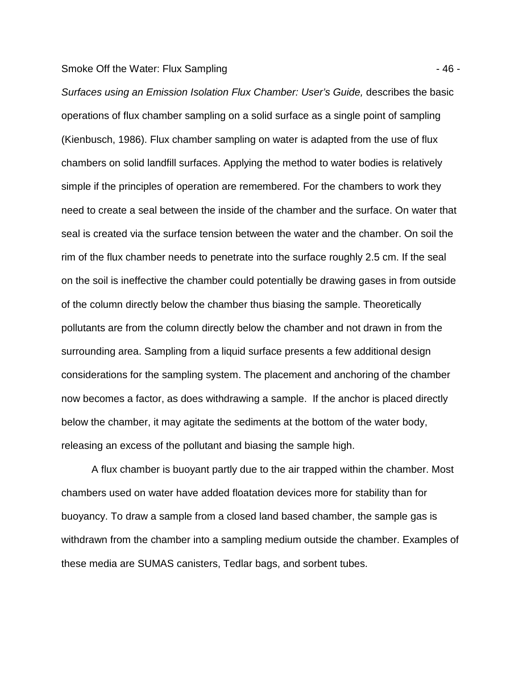#### Smoke Off the Water: Flux Sampling - 46 -

Surfaces using an Emission Isolation Flux Chamber: User's Guide, describes the basic operations of flux chamber sampling on a solid surface as a single point of sampling (Kienbusch, 1986). Flux chamber sampling on water is adapted from the use of flux chambers on solid landfill surfaces. Applying the method to water bodies is relatively simple if the principles of operation are remembered. For the chambers to work they need to create a seal between the inside of the chamber and the surface. On water that seal is created via the surface tension between the water and the chamber. On soil the rim of the flux chamber needs to penetrate into the surface roughly 2.5 cm. If the seal on the soil is ineffective the chamber could potentially be drawing gases in from outside of the column directly below the chamber thus biasing the sample. Theoretically pollutants are from the column directly below the chamber and not drawn in from the surrounding area. Sampling from a liquid surface presents a few additional design considerations for the sampling system. The placement and anchoring of the chamber now becomes a factor, as does withdrawing a sample. If the anchor is placed directly below the chamber, it may agitate the sediments at the bottom of the water body, releasing an excess of the pollutant and biasing the sample high.

A flux chamber is buoyant partly due to the air trapped within the chamber. Most chambers used on water have added floatation devices more for stability than for buoyancy. To draw a sample from a closed land based chamber, the sample gas is withdrawn from the chamber into a sampling medium outside the chamber. Examples of these media are SUMAS canisters, Tedlar bags, and sorbent tubes.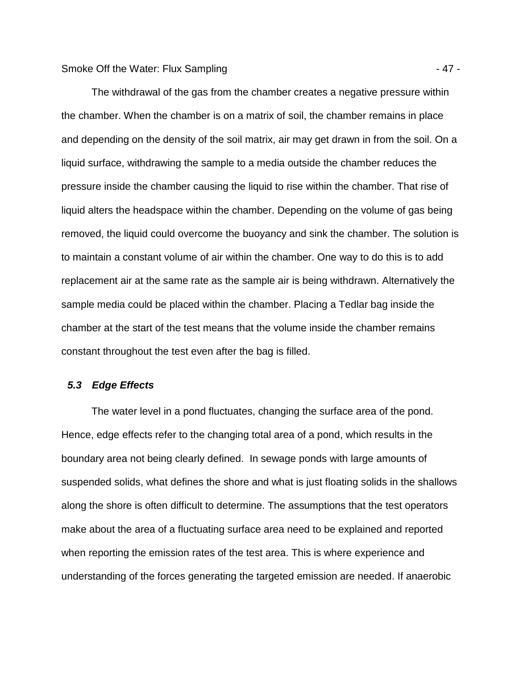The withdrawal of the gas from the chamber creates a negative pressure within the chamber. When the chamber is on a matrix of soil, the chamber remains in place and depending on the density of the soil matrix, air may get drawn in from the soil. On a liquid surface, withdrawing the sample to a media outside the chamber reduces the pressure inside the chamber causing the liquid to rise within the chamber. That rise of liquid alters the headspace within the chamber. Depending on the volume of gas being removed, the liquid could overcome the buoyancy and sink the chamber. The solution is to maintain a constant volume of air within the chamber. One way to do this is to add replacement air at the same rate as the sample air is being withdrawn. Alternatively the sample media could be placed within the chamber. Placing a Tedlar bag inside the chamber at the start of the test means that the volume inside the chamber remains constant throughout the test even after the bag is filled.

### **5.3 Edge Effects**

The water level in a pond fluctuates, changing the surface area of the pond. Hence, edge effects refer to the changing total area of a pond, which results in the boundary area not being clearly defined. In sewage ponds with large amounts of suspended solids, what defines the shore and what is just floating solids in the shallows along the shore is often difficult to determine. The assumptions that the test operators make about the area of a fluctuating surface area need to be explained and reported when reporting the emission rates of the test area. This is where experience and understanding of the forces generating the targeted emission are needed. If anaerobic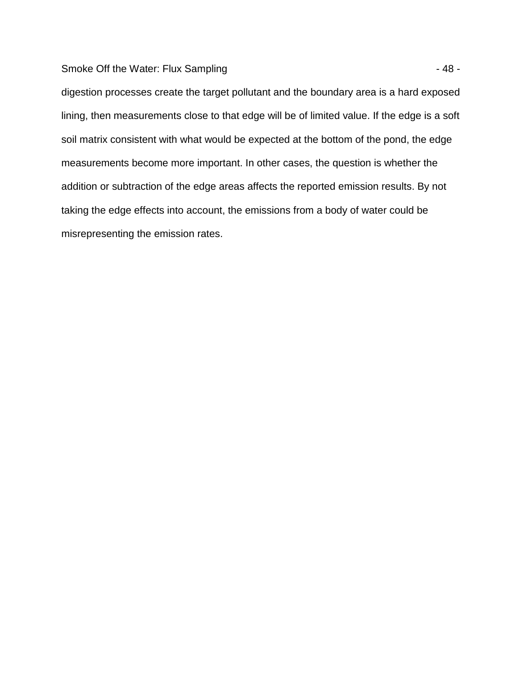# Smoke Off the Water: Flux Sampling  $-48 -$

digestion processes create the target pollutant and the boundary area is a hard exposed lining, then measurements close to that edge will be of limited value. If the edge is a soft soil matrix consistent with what would be expected at the bottom of the pond, the edge measurements become more important. In other cases, the question is whether the addition or subtraction of the edge areas affects the reported emission results. By not taking the edge effects into account, the emissions from a body of water could be misrepresenting the emission rates.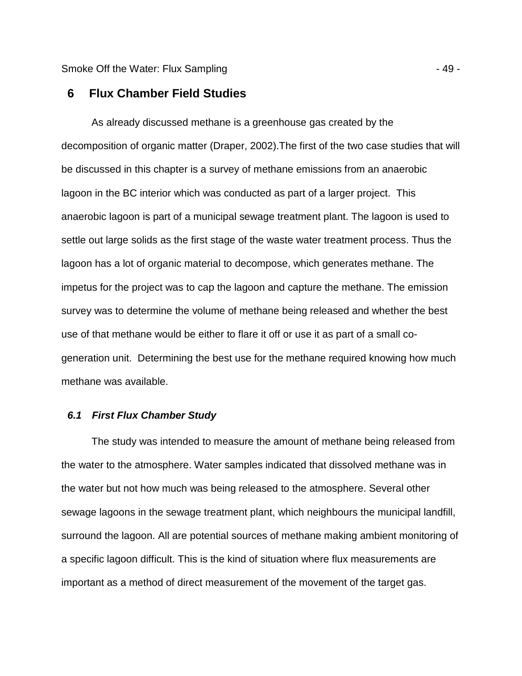### **6 Flux Chamber Field Studies**

As already discussed methane is a greenhouse gas created by the decomposition of organic matter (Draper, 2002).The first of the two case studies that will be discussed in this chapter is a survey of methane emissions from an anaerobic lagoon in the BC interior which was conducted as part of a larger project. This anaerobic lagoon is part of a municipal sewage treatment plant. The lagoon is used to settle out large solids as the first stage of the waste water treatment process. Thus the lagoon has a lot of organic material to decompose, which generates methane. The impetus for the project was to cap the lagoon and capture the methane. The emission survey was to determine the volume of methane being released and whether the best use of that methane would be either to flare it off or use it as part of a small cogeneration unit. Determining the best use for the methane required knowing how much methane was available.

### **6.1 First Flux Chamber Study**

The study was intended to measure the amount of methane being released from the water to the atmosphere. Water samples indicated that dissolved methane was in the water but not how much was being released to the atmosphere. Several other sewage lagoons in the sewage treatment plant, which neighbours the municipal landfill, surround the lagoon. All are potential sources of methane making ambient monitoring of a specific lagoon difficult. This is the kind of situation where flux measurements are important as a method of direct measurement of the movement of the target gas.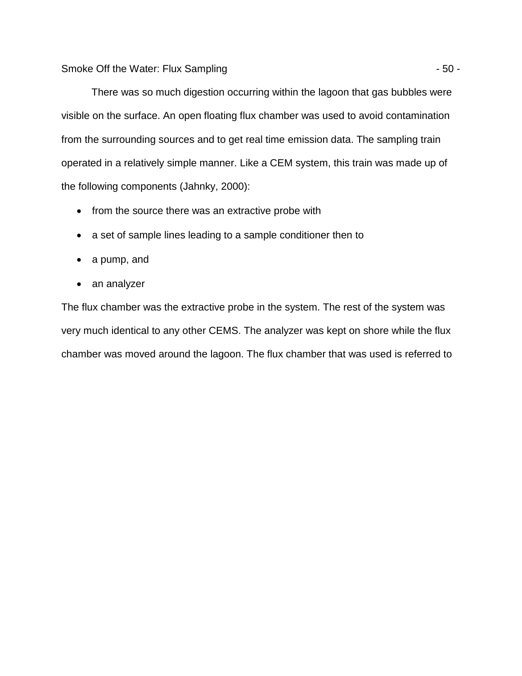There was so much digestion occurring within the lagoon that gas bubbles were visible on the surface. An open floating flux chamber was used to avoid contamination from the surrounding sources and to get real time emission data. The sampling train operated in a relatively simple manner. Like a CEM system, this train was made up of the following components (Jahnky, 2000):

- from the source there was an extractive probe with
- a set of sample lines leading to a sample conditioner then to
- a pump, and
- an analyzer

The flux chamber was the extractive probe in the system. The rest of the system was very much identical to any other CEMS. The analyzer was kept on shore while the flux chamber was moved around the lagoon. The flux chamber that was used is referred to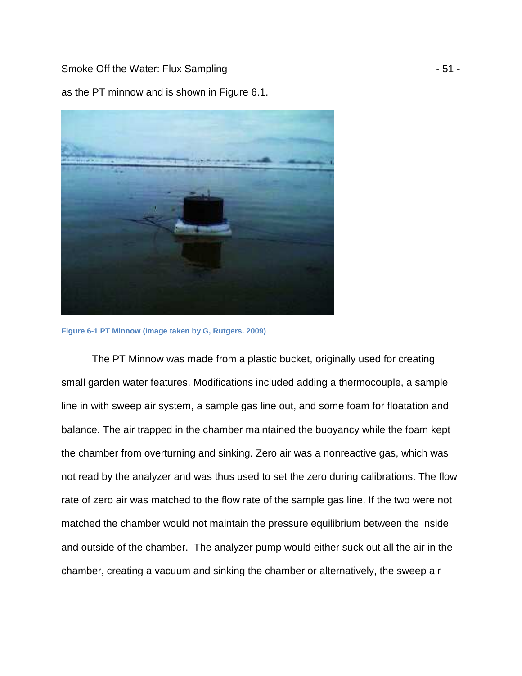Smoke Off the Water: Flux Sampling - 51 -

as the PT minnow and is shown in Figure 6.1.



**Figure 6-1 PT Minnow (Image taken by G, Rutgers. 2009)** 

The PT Minnow was made from a plastic bucket, originally used for creating small garden water features. Modifications included adding a thermocouple, a sample line in with sweep air system, a sample gas line out, and some foam for floatation and balance. The air trapped in the chamber maintained the buoyancy while the foam kept the chamber from overturning and sinking. Zero air was a nonreactive gas, which was not read by the analyzer and was thus used to set the zero during calibrations. The flow rate of zero air was matched to the flow rate of the sample gas line. If the two were not matched the chamber would not maintain the pressure equilibrium between the inside and outside of the chamber. The analyzer pump would either suck out all the air in the chamber, creating a vacuum and sinking the chamber or alternatively, the sweep air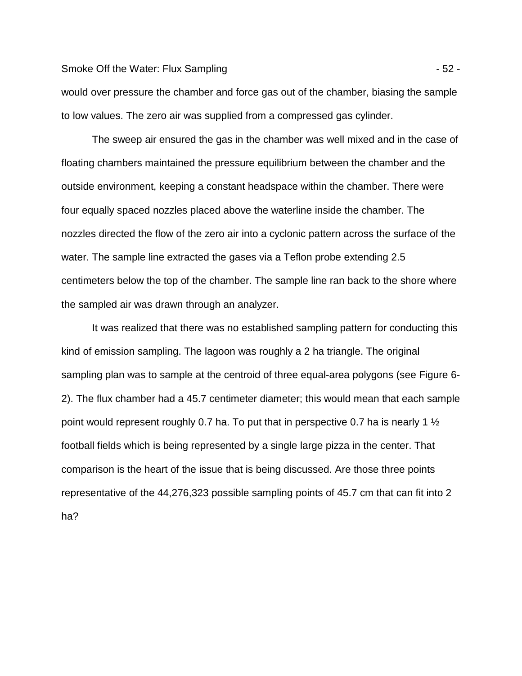#### Smoke Off the Water: Flux Sampling - 52 -

would over pressure the chamber and force gas out of the chamber, biasing the sample to low values. The zero air was supplied from a compressed gas cylinder.

The sweep air ensured the gas in the chamber was well mixed and in the case of floating chambers maintained the pressure equilibrium between the chamber and the outside environment, keeping a constant headspace within the chamber. There were four equally spaced nozzles placed above the waterline inside the chamber. The nozzles directed the flow of the zero air into a cyclonic pattern across the surface of the water. The sample line extracted the gases via a Teflon probe extending 2.5 centimeters below the top of the chamber. The sample line ran back to the shore where the sampled air was drawn through an analyzer.

It was realized that there was no established sampling pattern for conducting this kind of emission sampling. The lagoon was roughly a 2 ha triangle. The original sampling plan was to sample at the centroid of three equal-area polygons (see Figure 6- 2). The flux chamber had a 45.7 centimeter diameter; this would mean that each sample point would represent roughly 0.7 ha. To put that in perspective 0.7 ha is nearly 1 ½ football fields which is being represented by a single large pizza in the center. That comparison is the heart of the issue that is being discussed. Are those three points representative of the 44,276,323 possible sampling points of 45.7 cm that can fit into 2 ha?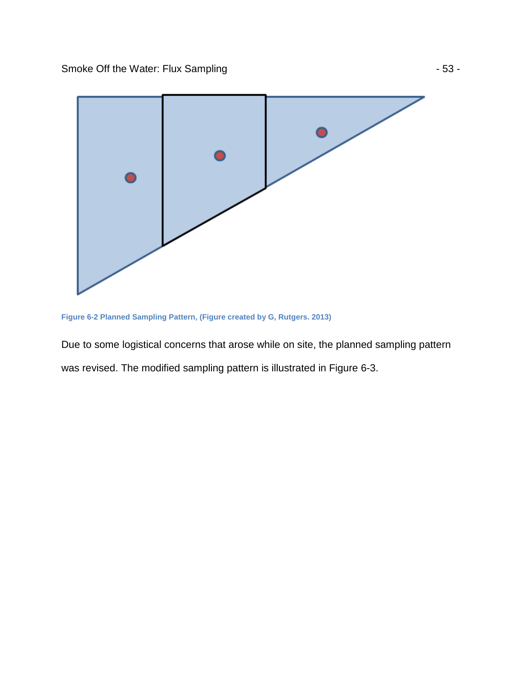

**Figure 6-2 Planned Sampling Pattern, (Figure created by G, Rutgers. 2013)** 

Due to some logistical concerns that arose while on site, the planned sampling pattern was revised. The modified sampling pattern is illustrated in Figure 6-3.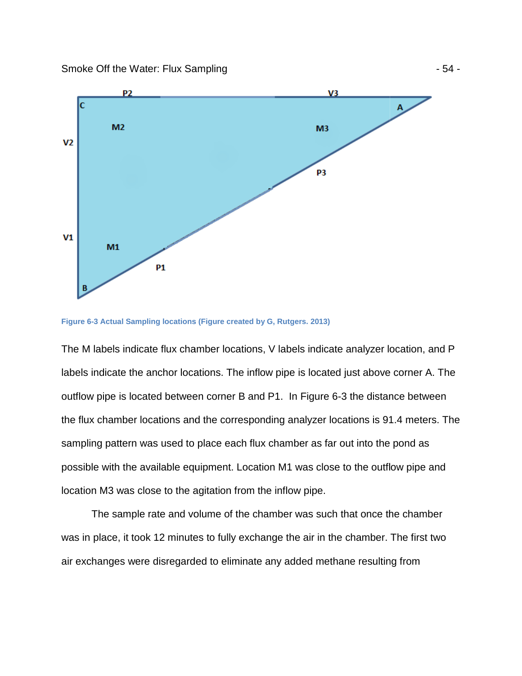Smoke Off the Water: Flux Sampling





The M labels indicate flux chamber locations, V labels indicate analyzer location, and P labels indicate the anchor locations. The inflow pipe is located just above corner A. The labels indicate the anchor locations. The inflow pipe is located just above corner A. Th<br>outflow pipe is located between corner B and P1. In Figure 6-3 the distance between outflow pipe is located between corner B and P1. In Figure 6-3 the distance between<br>the flux chamber locations and the corresponding analyzer locations is 91.4 meters. The sampling pattern was used to place each flux chamber as far out into the pond as possible with the available equipment. Location M1 was close to the outflow pipe and location M3 was close to the agitation from the inflow pipe.

The sample rate and volume of the chamber was such that once the chamber was in place, it took 12 minutes to fully exchange the air in the chamber. The first two air exchanges were disregarded to eliminate any added methane resulting from close to the agitation from the inflow pipe.<br>le rate and volume of the chamber was such that once the<br>bok 12 minutes to fully exchange the air in the chamber. Th<br>ere disregarded to eliminate any added methane resulting f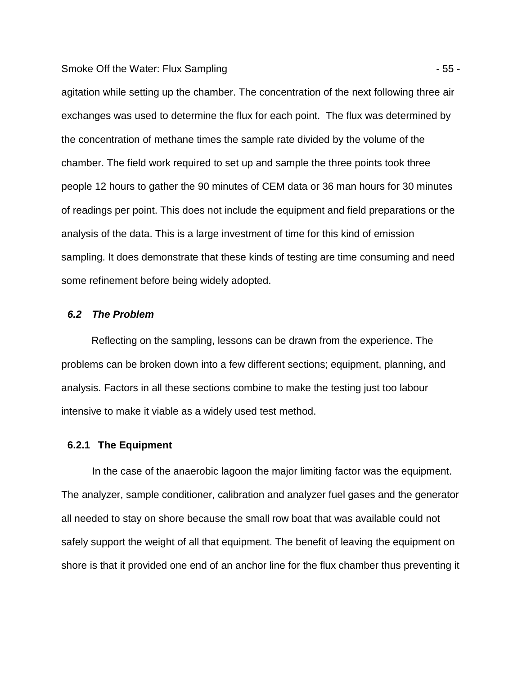Smoke Off the Water: Flux Sampling - 55 -

agitation while setting up the chamber. The concentration of the next following three air exchanges was used to determine the flux for each point. The flux was determined by the concentration of methane times the sample rate divided by the volume of the chamber. The field work required to set up and sample the three points took three people 12 hours to gather the 90 minutes of CEM data or 36 man hours for 30 minutes of readings per point. This does not include the equipment and field preparations or the analysis of the data. This is a large investment of time for this kind of emission sampling. It does demonstrate that these kinds of testing are time consuming and need some refinement before being widely adopted.

### **6.2 The Problem**

Reflecting on the sampling, lessons can be drawn from the experience. The problems can be broken down into a few different sections; equipment, planning, and analysis. Factors in all these sections combine to make the testing just too labour intensive to make it viable as a widely used test method.

### **6.2.1 The Equipment**

In the case of the anaerobic lagoon the major limiting factor was the equipment. The analyzer, sample conditioner, calibration and analyzer fuel gases and the generator all needed to stay on shore because the small row boat that was available could not safely support the weight of all that equipment. The benefit of leaving the equipment on shore is that it provided one end of an anchor line for the flux chamber thus preventing it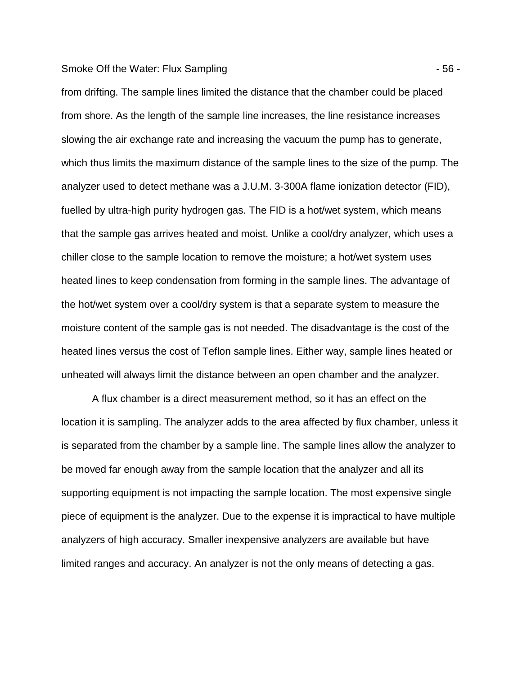#### Smoke Off the Water: Flux Sampling - 56 -

from drifting. The sample lines limited the distance that the chamber could be placed from shore. As the length of the sample line increases, the line resistance increases slowing the air exchange rate and increasing the vacuum the pump has to generate, which thus limits the maximum distance of the sample lines to the size of the pump. The analyzer used to detect methane was a J.U.M. 3-300A flame ionization detector (FID), fuelled by ultra-high purity hydrogen gas. The FID is a hot/wet system, which means that the sample gas arrives heated and moist. Unlike a cool/dry analyzer, which uses a chiller close to the sample location to remove the moisture; a hot/wet system uses heated lines to keep condensation from forming in the sample lines. The advantage of the hot/wet system over a cool/dry system is that a separate system to measure the moisture content of the sample gas is not needed. The disadvantage is the cost of the heated lines versus the cost of Teflon sample lines. Either way, sample lines heated or unheated will always limit the distance between an open chamber and the analyzer.

A flux chamber is a direct measurement method, so it has an effect on the location it is sampling. The analyzer adds to the area affected by flux chamber, unless it is separated from the chamber by a sample line. The sample lines allow the analyzer to be moved far enough away from the sample location that the analyzer and all its supporting equipment is not impacting the sample location. The most expensive single piece of equipment is the analyzer. Due to the expense it is impractical to have multiple analyzers of high accuracy. Smaller inexpensive analyzers are available but have limited ranges and accuracy. An analyzer is not the only means of detecting a gas.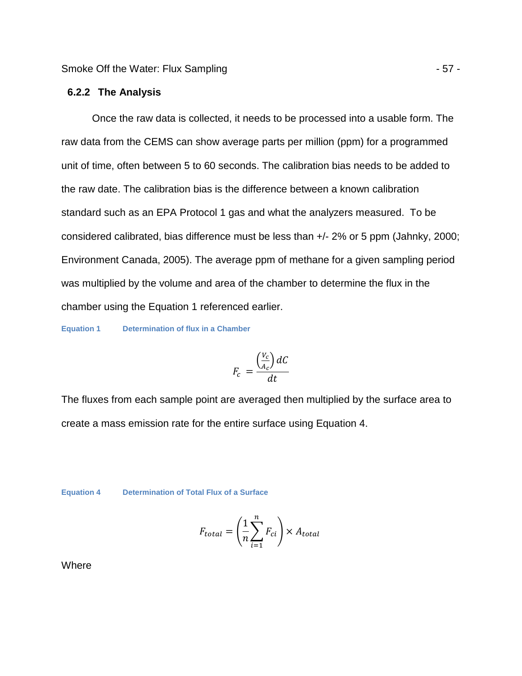### **6.2.2 The Analysis**

Once the raw data is collected, it needs to be processed into a usable form. The raw data from the CEMS can show average parts per million (ppm) for a programmed unit of time, often between 5 to 60 seconds. The calibration bias needs to be added to the raw date. The calibration bias is the difference between a known calibration standard such as an EPA Protocol 1 gas and what the analyzers measured. To be considered calibrated, bias difference must be less than +/- 2% or 5 ppm (Jahnky, 2000; Environment Canada, 2005). The average ppm of methane for a given sampling period was multiplied by the volume and area of the chamber to determine the flux in the chamber using the Equation 1 referenced earlier.

**Equation 1 Determination of flux in a Chamber** 

$$
F_c = \frac{\left(\frac{V_c}{A_c}\right)dC}{dt}
$$

The fluxes from each sample point are averaged then multiplied by the surface area to create a mass emission rate for the entire surface using Equation 4.

**Equation 4 Determination of Total Flux of a Surface**

$$
F_{total} = \left(\frac{1}{n}\sum_{i=1}^{n} F_{ci}\right) \times A_{total}
$$

**Where**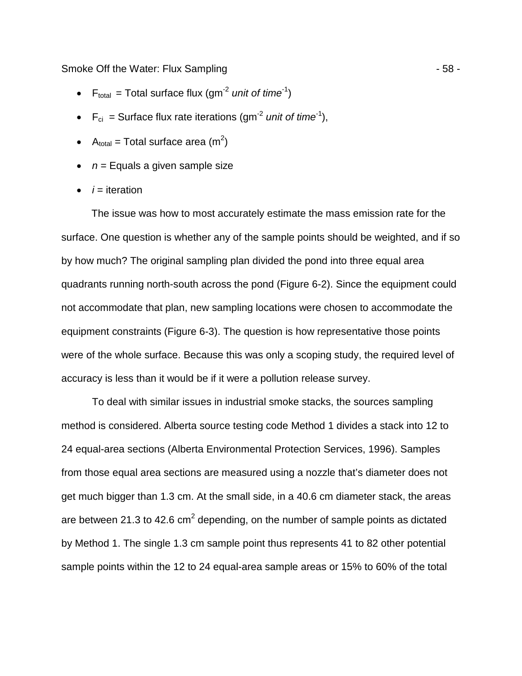Smoke Off the Water: Flux Sampling - 58 -

- $F_{total}$  = Total surface flux (gm<sup>-2</sup> unit of time<sup>-1</sup>)
- $F_{ci}$  = Surface flux rate iterations (gm<sup>-2</sup> unit of time<sup>-1</sup>),
- A<sub>total</sub> = Total surface area (m<sup>2</sup>)
- $\bullet$   $n =$  Equals a given sample size
- $\bullet$  *i* = iteration

The issue was how to most accurately estimate the mass emission rate for the surface. One question is whether any of the sample points should be weighted, and if so by how much? The original sampling plan divided the pond into three equal area quadrants running north-south across the pond (Figure 6-2). Since the equipment could not accommodate that plan, new sampling locations were chosen to accommodate the equipment constraints (Figure 6-3). The question is how representative those points were of the whole surface. Because this was only a scoping study, the required level of accuracy is less than it would be if it were a pollution release survey.

To deal with similar issues in industrial smoke stacks, the sources sampling method is considered. Alberta source testing code Method 1 divides a stack into 12 to 24 equal-area sections (Alberta Environmental Protection Services, 1996). Samples from those equal area sections are measured using a nozzle that's diameter does not get much bigger than 1.3 cm. At the small side, in a 40.6 cm diameter stack, the areas are between 21.3 to 42.6 cm<sup>2</sup> depending, on the number of sample points as dictated by Method 1. The single 1.3 cm sample point thus represents 41 to 82 other potential sample points within the 12 to 24 equal-area sample areas or 15% to 60% of the total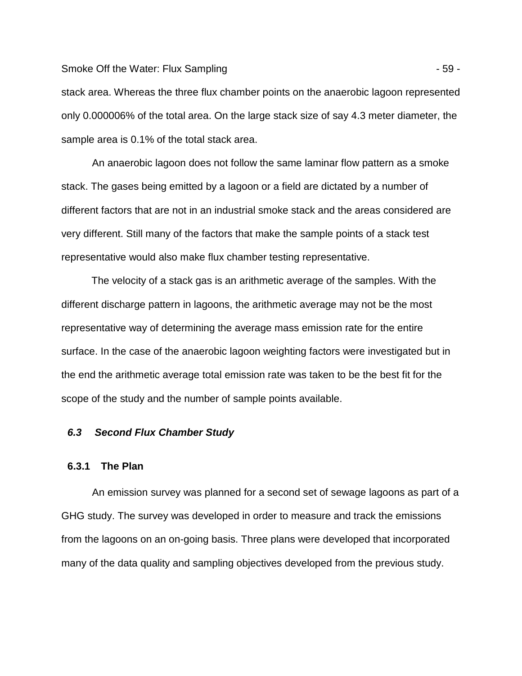Smoke Off the Water: Flux Sampling - 59 -

stack area. Whereas the three flux chamber points on the anaerobic lagoon represented only 0.000006% of the total area. On the large stack size of say 4.3 meter diameter, the sample area is 0.1% of the total stack area.

An anaerobic lagoon does not follow the same laminar flow pattern as a smoke stack. The gases being emitted by a lagoon or a field are dictated by a number of different factors that are not in an industrial smoke stack and the areas considered are very different. Still many of the factors that make the sample points of a stack test representative would also make flux chamber testing representative.

The velocity of a stack gas is an arithmetic average of the samples. With the different discharge pattern in lagoons, the arithmetic average may not be the most representative way of determining the average mass emission rate for the entire surface. In the case of the anaerobic lagoon weighting factors were investigated but in the end the arithmetic average total emission rate was taken to be the best fit for the scope of the study and the number of sample points available.

# **6.3 Second Flux Chamber Study**

# **6.3.1 The Plan**

An emission survey was planned for a second set of sewage lagoons as part of a GHG study. The survey was developed in order to measure and track the emissions from the lagoons on an on-going basis. Three plans were developed that incorporated many of the data quality and sampling objectives developed from the previous study.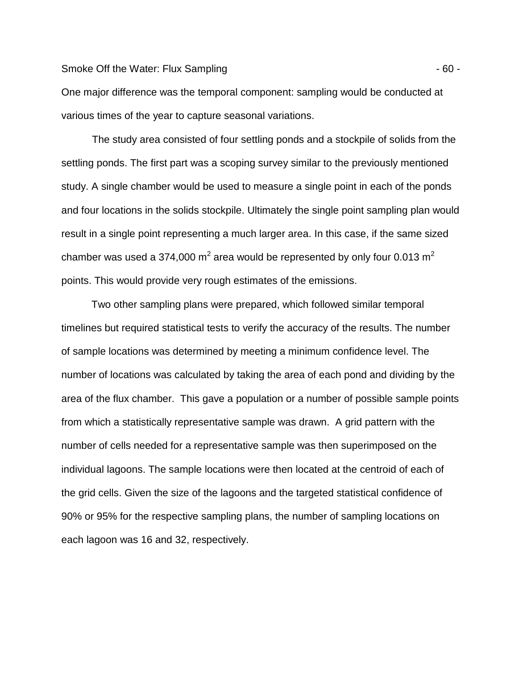#### Smoke Off the Water: Flux Sampling  $-60 -$

One major difference was the temporal component: sampling would be conducted at various times of the year to capture seasonal variations.

The study area consisted of four settling ponds and a stockpile of solids from the settling ponds. The first part was a scoping survey similar to the previously mentioned study. A single chamber would be used to measure a single point in each of the ponds and four locations in the solids stockpile. Ultimately the single point sampling plan would result in a single point representing a much larger area. In this case, if the same sized chamber was used a 374,000 m<sup>2</sup> area would be represented by only four 0.013 m<sup>2</sup> points. This would provide very rough estimates of the emissions.

Two other sampling plans were prepared, which followed similar temporal timelines but required statistical tests to verify the accuracy of the results. The number of sample locations was determined by meeting a minimum confidence level. The number of locations was calculated by taking the area of each pond and dividing by the area of the flux chamber. This gave a population or a number of possible sample points from which a statistically representative sample was drawn. A grid pattern with the number of cells needed for a representative sample was then superimposed on the individual lagoons. The sample locations were then located at the centroid of each of the grid cells. Given the size of the lagoons and the targeted statistical confidence of 90% or 95% for the respective sampling plans, the number of sampling locations on each lagoon was 16 and 32, respectively.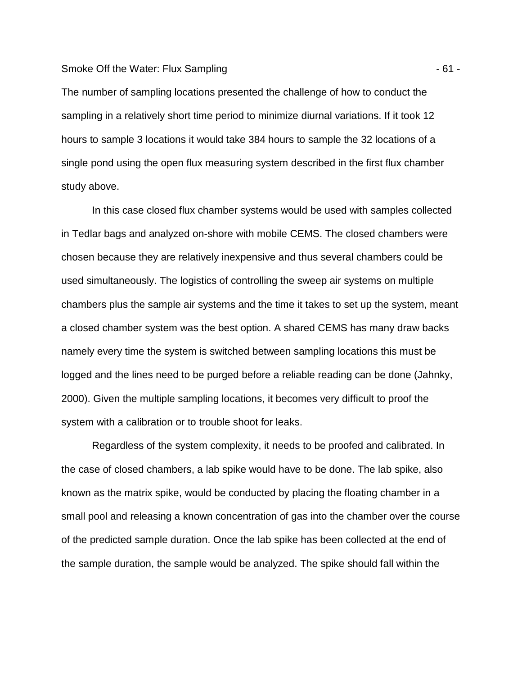#### Smoke Off the Water: Flux Sampling - 61 -

The number of sampling locations presented the challenge of how to conduct the sampling in a relatively short time period to minimize diurnal variations. If it took 12 hours to sample 3 locations it would take 384 hours to sample the 32 locations of a single pond using the open flux measuring system described in the first flux chamber study above.

In this case closed flux chamber systems would be used with samples collected in Tedlar bags and analyzed on-shore with mobile CEMS. The closed chambers were chosen because they are relatively inexpensive and thus several chambers could be used simultaneously. The logistics of controlling the sweep air systems on multiple chambers plus the sample air systems and the time it takes to set up the system, meant a closed chamber system was the best option. A shared CEMS has many draw backs namely every time the system is switched between sampling locations this must be logged and the lines need to be purged before a reliable reading can be done (Jahnky, 2000). Given the multiple sampling locations, it becomes very difficult to proof the system with a calibration or to trouble shoot for leaks.

Regardless of the system complexity, it needs to be proofed and calibrated. In the case of closed chambers, a lab spike would have to be done. The lab spike, also known as the matrix spike, would be conducted by placing the floating chamber in a small pool and releasing a known concentration of gas into the chamber over the course of the predicted sample duration. Once the lab spike has been collected at the end of the sample duration, the sample would be analyzed. The spike should fall within the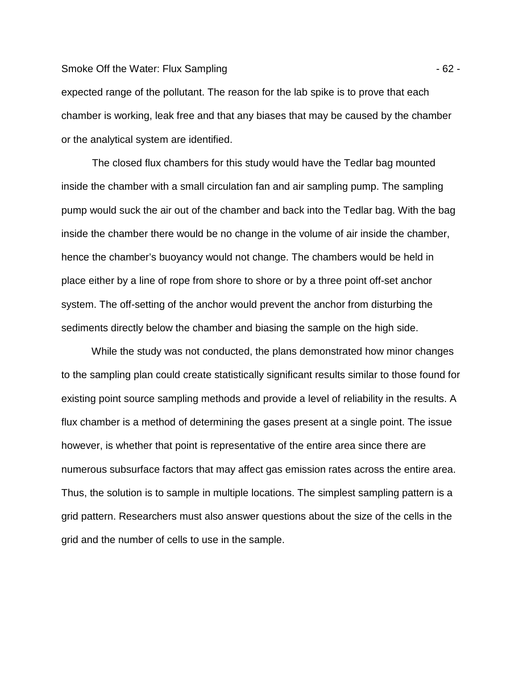#### Smoke Off the Water: Flux Sampling - 62 -

expected range of the pollutant. The reason for the lab spike is to prove that each chamber is working, leak free and that any biases that may be caused by the chamber or the analytical system are identified.

The closed flux chambers for this study would have the Tedlar bag mounted inside the chamber with a small circulation fan and air sampling pump. The sampling pump would suck the air out of the chamber and back into the Tedlar bag. With the bag inside the chamber there would be no change in the volume of air inside the chamber, hence the chamber's buoyancy would not change. The chambers would be held in place either by a line of rope from shore to shore or by a three point off-set anchor system. The off-setting of the anchor would prevent the anchor from disturbing the sediments directly below the chamber and biasing the sample on the high side.

While the study was not conducted, the plans demonstrated how minor changes to the sampling plan could create statistically significant results similar to those found for existing point source sampling methods and provide a level of reliability in the results. A flux chamber is a method of determining the gases present at a single point. The issue however, is whether that point is representative of the entire area since there are numerous subsurface factors that may affect gas emission rates across the entire area. Thus, the solution is to sample in multiple locations. The simplest sampling pattern is a grid pattern. Researchers must also answer questions about the size of the cells in the grid and the number of cells to use in the sample.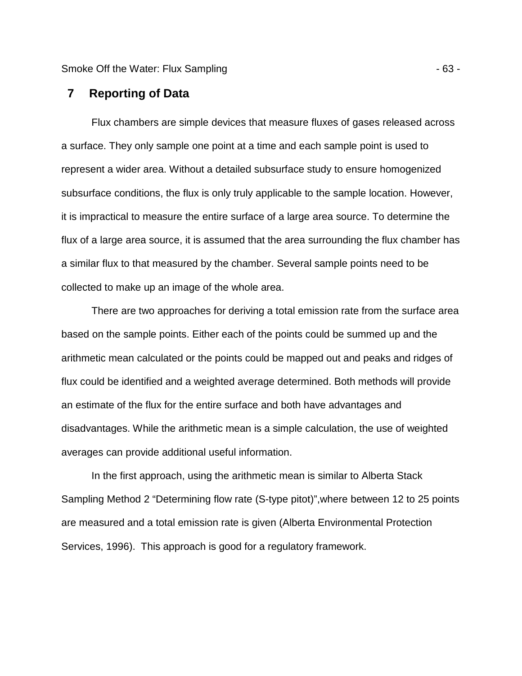Smoke Off the Water: Flux Sampling - 63 -

# **7 Reporting of Data**

Flux chambers are simple devices that measure fluxes of gases released across a surface. They only sample one point at a time and each sample point is used to represent a wider area. Without a detailed subsurface study to ensure homogenized subsurface conditions, the flux is only truly applicable to the sample location. However, it is impractical to measure the entire surface of a large area source. To determine the flux of a large area source, it is assumed that the area surrounding the flux chamber has a similar flux to that measured by the chamber. Several sample points need to be collected to make up an image of the whole area.

There are two approaches for deriving a total emission rate from the surface area based on the sample points. Either each of the points could be summed up and the arithmetic mean calculated or the points could be mapped out and peaks and ridges of flux could be identified and a weighted average determined. Both methods will provide an estimate of the flux for the entire surface and both have advantages and disadvantages. While the arithmetic mean is a simple calculation, the use of weighted averages can provide additional useful information.

In the first approach, using the arithmetic mean is similar to Alberta Stack Sampling Method 2 "Determining flow rate (S-type pitot)",where between 12 to 25 points are measured and a total emission rate is given (Alberta Environmental Protection Services, 1996). This approach is good for a regulatory framework.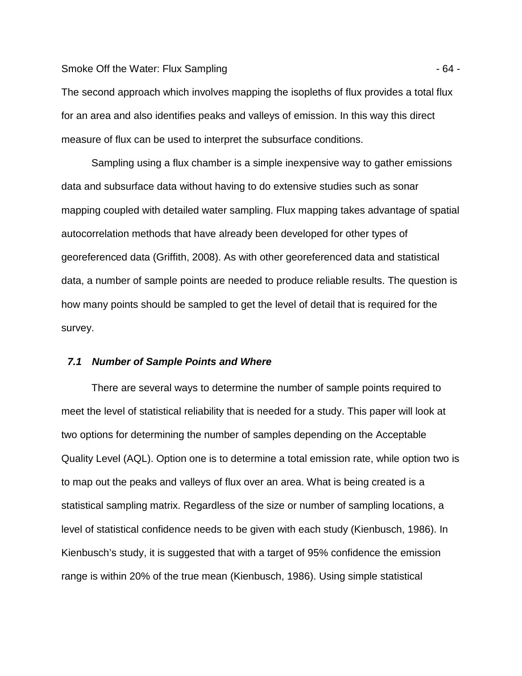#### Smoke Off the Water: Flux Sampling - 64 -

The second approach which involves mapping the isopleths of flux provides a total flux for an area and also identifies peaks and valleys of emission. In this way this direct measure of flux can be used to interpret the subsurface conditions.

Sampling using a flux chamber is a simple inexpensive way to gather emissions data and subsurface data without having to do extensive studies such as sonar mapping coupled with detailed water sampling. Flux mapping takes advantage of spatial autocorrelation methods that have already been developed for other types of georeferenced data (Griffith, 2008). As with other georeferenced data and statistical data, a number of sample points are needed to produce reliable results. The question is how many points should be sampled to get the level of detail that is required for the survey.

### **7.1 Number of Sample Points and Where**

There are several ways to determine the number of sample points required to meet the level of statistical reliability that is needed for a study. This paper will look at two options for determining the number of samples depending on the Acceptable Quality Level (AQL). Option one is to determine a total emission rate, while option two is to map out the peaks and valleys of flux over an area. What is being created is a statistical sampling matrix. Regardless of the size or number of sampling locations, a level of statistical confidence needs to be given with each study (Kienbusch, 1986). In Kienbusch's study, it is suggested that with a target of 95% confidence the emission range is within 20% of the true mean (Kienbusch, 1986). Using simple statistical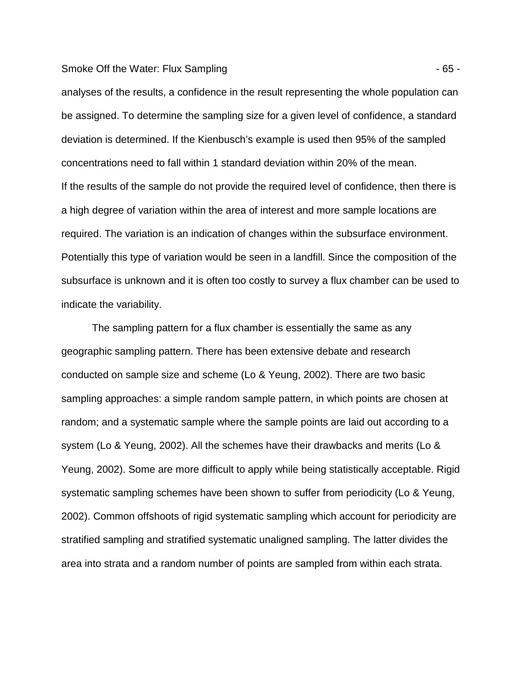#### Smoke Off the Water: Flux Sampling - 65 -

analyses of the results, a confidence in the result representing the whole population can be assigned. To determine the sampling size for a given level of confidence, a standard deviation is determined. If the Kienbusch's example is used then 95% of the sampled concentrations need to fall within 1 standard deviation within 20% of the mean. If the results of the sample do not provide the required level of confidence, then there is a high degree of variation within the area of interest and more sample locations are required. The variation is an indication of changes within the subsurface environment. Potentially this type of variation would be seen in a landfill. Since the composition of the subsurface is unknown and it is often too costly to survey a flux chamber can be used to indicate the variability.

The sampling pattern for a flux chamber is essentially the same as any geographic sampling pattern. There has been extensive debate and research conducted on sample size and scheme (Lo & Yeung, 2002). There are two basic sampling approaches: a simple random sample pattern, in which points are chosen at random; and a systematic sample where the sample points are laid out according to a system (Lo & Yeung, 2002). All the schemes have their drawbacks and merits (Lo & Yeung, 2002). Some are more difficult to apply while being statistically acceptable. Rigid systematic sampling schemes have been shown to suffer from periodicity (Lo & Yeung, 2002). Common offshoots of rigid systematic sampling which account for periodicity are stratified sampling and stratified systematic unaligned sampling. The latter divides the area into strata and a random number of points are sampled from within each strata.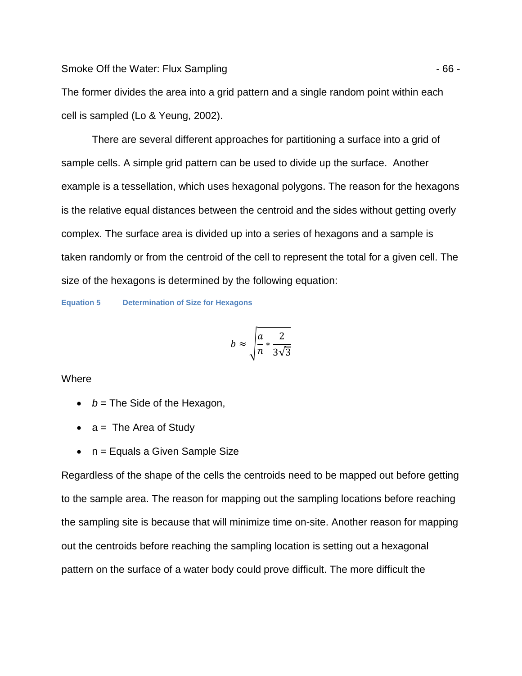Smoke Off the Water: Flux Sampling - 66 -

The former divides the area into a grid pattern and a single random point within each cell is sampled (Lo & Yeung, 2002).

There are several different approaches for partitioning a surface into a grid of sample cells. A simple grid pattern can be used to divide up the surface. Another example is a tessellation, which uses hexagonal polygons. The reason for the hexagons is the relative equal distances between the centroid and the sides without getting overly complex. The surface area is divided up into a series of hexagons and a sample is taken randomly or from the centroid of the cell to represent the total for a given cell. The size of the hexagons is determined by the following equation:

**Equation 5 Determination of Size for Hexagons** 

$$
b \approx \sqrt{\frac{a}{n} * \frac{2}{3\sqrt{3}}}
$$

**Where** 

- $b =$  The Side of the Hexagon,
- $a =$  The Area of Study
- $\bullet$  n = Equals a Given Sample Size

Regardless of the shape of the cells the centroids need to be mapped out before getting to the sample area. The reason for mapping out the sampling locations before reaching the sampling site is because that will minimize time on-site. Another reason for mapping out the centroids before reaching the sampling location is setting out a hexagonal pattern on the surface of a water body could prove difficult. The more difficult the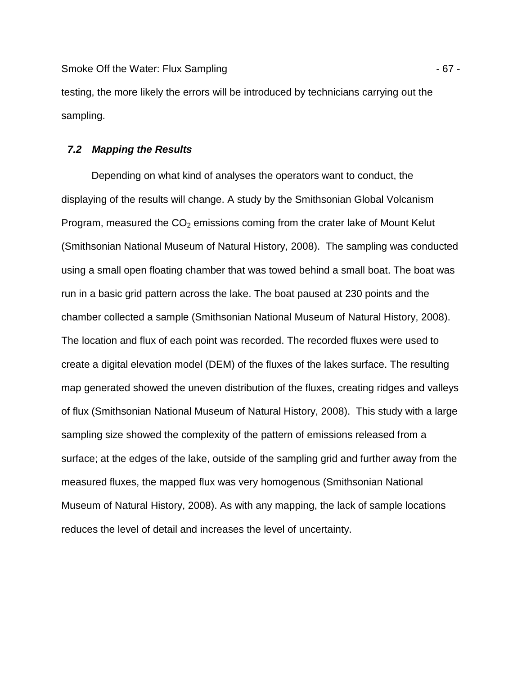Smoke Off the Water: Flux Sampling - 67 -

testing, the more likely the errors will be introduced by technicians carrying out the sampling.

### **7.2 Mapping the Results**

Depending on what kind of analyses the operators want to conduct, the displaying of the results will change. A study by the Smithsonian Global Volcanism Program, measured the  $CO<sub>2</sub>$  emissions coming from the crater lake of Mount Kelut (Smithsonian National Museum of Natural History, 2008). The sampling was conducted using a small open floating chamber that was towed behind a small boat. The boat was run in a basic grid pattern across the lake. The boat paused at 230 points and the chamber collected a sample (Smithsonian National Museum of Natural History, 2008). The location and flux of each point was recorded. The recorded fluxes were used to create a digital elevation model (DEM) of the fluxes of the lakes surface. The resulting map generated showed the uneven distribution of the fluxes, creating ridges and valleys of flux (Smithsonian National Museum of Natural History, 2008). This study with a large sampling size showed the complexity of the pattern of emissions released from a surface; at the edges of the lake, outside of the sampling grid and further away from the measured fluxes, the mapped flux was very homogenous (Smithsonian National Museum of Natural History, 2008). As with any mapping, the lack of sample locations reduces the level of detail and increases the level of uncertainty.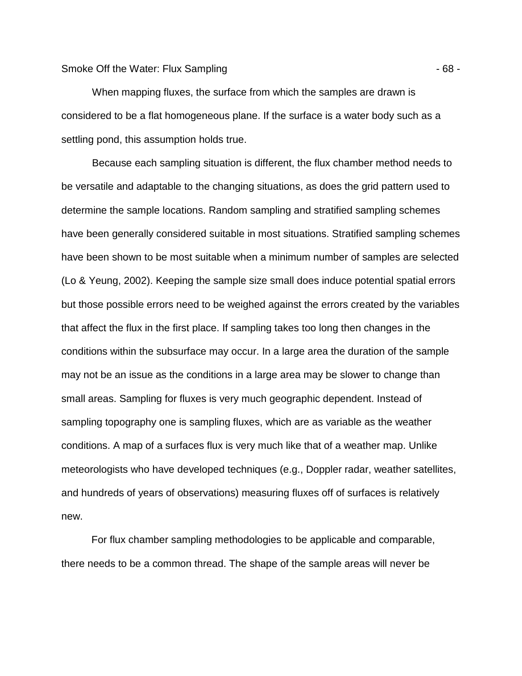When mapping fluxes, the surface from which the samples are drawn is considered to be a flat homogeneous plane. If the surface is a water body such as a settling pond, this assumption holds true.

Because each sampling situation is different, the flux chamber method needs to be versatile and adaptable to the changing situations, as does the grid pattern used to determine the sample locations. Random sampling and stratified sampling schemes have been generally considered suitable in most situations. Stratified sampling schemes have been shown to be most suitable when a minimum number of samples are selected (Lo & Yeung, 2002). Keeping the sample size small does induce potential spatial errors but those possible errors need to be weighed against the errors created by the variables that affect the flux in the first place. If sampling takes too long then changes in the conditions within the subsurface may occur. In a large area the duration of the sample may not be an issue as the conditions in a large area may be slower to change than small areas. Sampling for fluxes is very much geographic dependent. Instead of sampling topography one is sampling fluxes, which are as variable as the weather conditions. A map of a surfaces flux is very much like that of a weather map. Unlike meteorologists who have developed techniques (e.g., Doppler radar, weather satellites, and hundreds of years of observations) measuring fluxes off of surfaces is relatively new.

For flux chamber sampling methodologies to be applicable and comparable, there needs to be a common thread. The shape of the sample areas will never be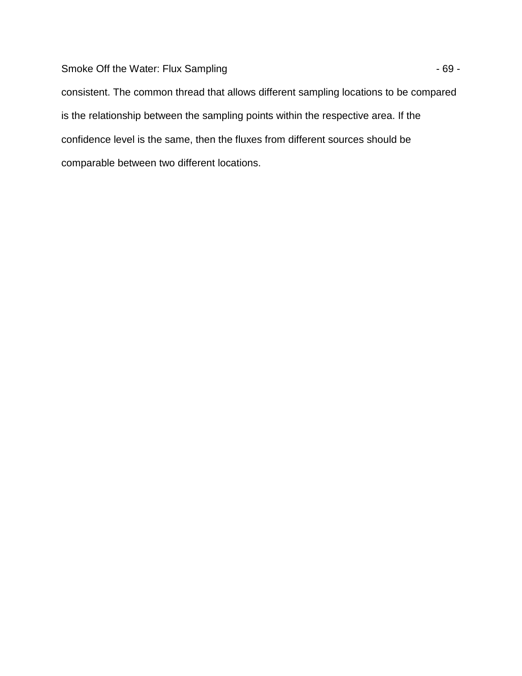Smoke Off the Water: Flux Sampling  $-69 -$ 

consistent. The common thread that allows different sampling locations to be compared is the relationship between the sampling points within the respective area. If the confidence level is the same, then the fluxes from different sources should be comparable between two different locations.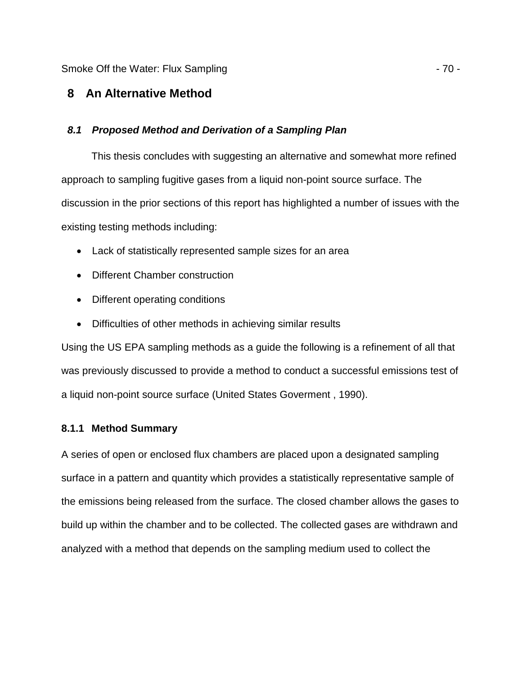Smoke Off the Water: Flux Sampling - 70 -

# **8 An Alternative Method**

# **8.1 Proposed Method and Derivation of a Sampling Plan**

This thesis concludes with suggesting an alternative and somewhat more refined approach to sampling fugitive gases from a liquid non-point source surface. The discussion in the prior sections of this report has highlighted a number of issues with the existing testing methods including:

- Lack of statistically represented sample sizes for an area
- Different Chamber construction
- Different operating conditions
- Difficulties of other methods in achieving similar results

Using the US EPA sampling methods as a guide the following is a refinement of all that was previously discussed to provide a method to conduct a successful emissions test of a liquid non-point source surface (United States Goverment , 1990).

# **8.1.1 Method Summary**

A series of open or enclosed flux chambers are placed upon a designated sampling surface in a pattern and quantity which provides a statistically representative sample of the emissions being released from the surface. The closed chamber allows the gases to build up within the chamber and to be collected. The collected gases are withdrawn and analyzed with a method that depends on the sampling medium used to collect the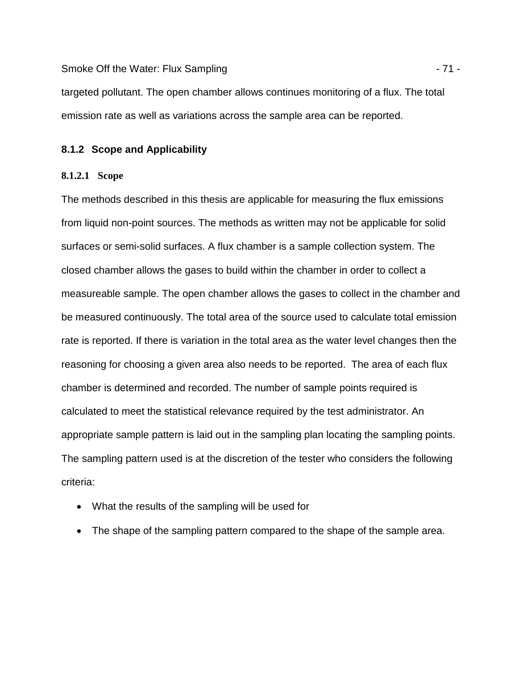Smoke Off the Water: Flux Sampling - 71 -

targeted pollutant. The open chamber allows continues monitoring of a flux. The total emission rate as well as variations across the sample area can be reported.

# **8.1.2 Scope and Applicability**

## **8.1.2.1 Scope**

The methods described in this thesis are applicable for measuring the flux emissions from liquid non-point sources. The methods as written may not be applicable for solid surfaces or semi-solid surfaces. A flux chamber is a sample collection system. The closed chamber allows the gases to build within the chamber in order to collect a measureable sample. The open chamber allows the gases to collect in the chamber and be measured continuously. The total area of the source used to calculate total emission rate is reported. If there is variation in the total area as the water level changes then the reasoning for choosing a given area also needs to be reported. The area of each flux chamber is determined and recorded. The number of sample points required is calculated to meet the statistical relevance required by the test administrator. An appropriate sample pattern is laid out in the sampling plan locating the sampling points. The sampling pattern used is at the discretion of the tester who considers the following criteria:

- What the results of the sampling will be used for
- The shape of the sampling pattern compared to the shape of the sample area.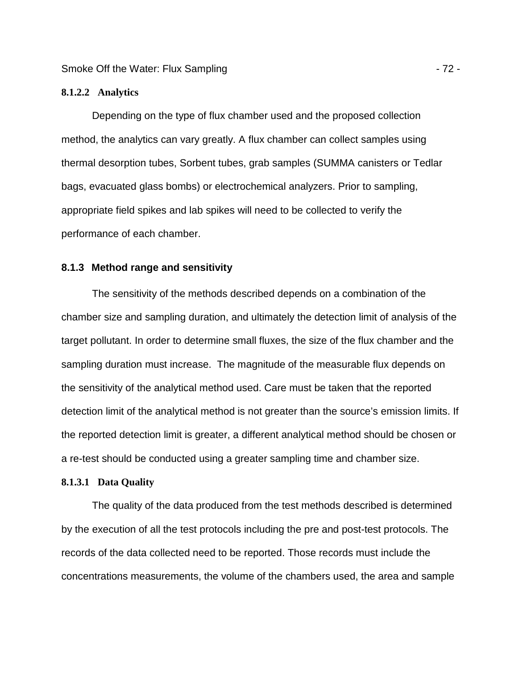### **8.1.2.2 Analytics**

Depending on the type of flux chamber used and the proposed collection method, the analytics can vary greatly. A flux chamber can collect samples using thermal desorption tubes, Sorbent tubes, grab samples (SUMMA canisters or Tedlar bags, evacuated glass bombs) or electrochemical analyzers. Prior to sampling, appropriate field spikes and lab spikes will need to be collected to verify the performance of each chamber.

# **8.1.3 Method range and sensitivity**

The sensitivity of the methods described depends on a combination of the chamber size and sampling duration, and ultimately the detection limit of analysis of the target pollutant. In order to determine small fluxes, the size of the flux chamber and the sampling duration must increase. The magnitude of the measurable flux depends on the sensitivity of the analytical method used. Care must be taken that the reported detection limit of the analytical method is not greater than the source's emission limits. If the reported detection limit is greater, a different analytical method should be chosen or a re-test should be conducted using a greater sampling time and chamber size.

#### **8.1.3.1 Data Quality**

The quality of the data produced from the test methods described is determined by the execution of all the test protocols including the pre and post-test protocols. The records of the data collected need to be reported. Those records must include the concentrations measurements, the volume of the chambers used, the area and sample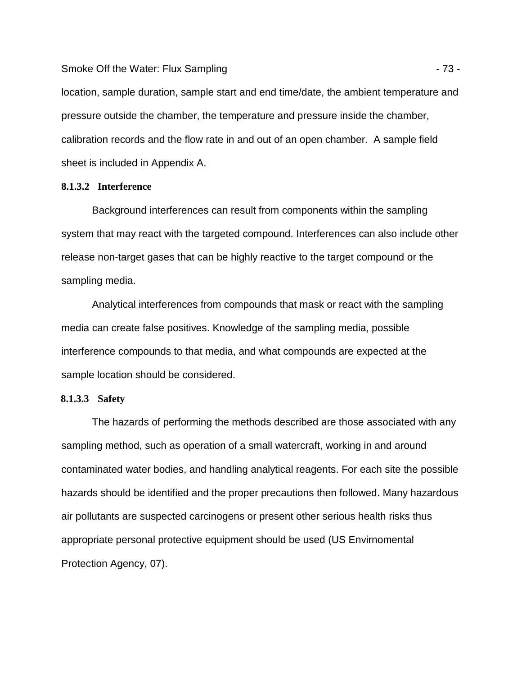Smoke Off the Water: Flux Sampling - 73 -

location, sample duration, sample start and end time/date, the ambient temperature and pressure outside the chamber, the temperature and pressure inside the chamber, calibration records and the flow rate in and out of an open chamber. A sample field sheet is included in Appendix A.

#### **8.1.3.2 Interference**

Background interferences can result from components within the sampling system that may react with the targeted compound. Interferences can also include other release non-target gases that can be highly reactive to the target compound or the sampling media.

Analytical interferences from compounds that mask or react with the sampling media can create false positives. Knowledge of the sampling media, possible interference compounds to that media, and what compounds are expected at the sample location should be considered.

#### **8.1.3.3 Safety**

The hazards of performing the methods described are those associated with any sampling method, such as operation of a small watercraft, working in and around contaminated water bodies, and handling analytical reagents. For each site the possible hazards should be identified and the proper precautions then followed. Many hazardous air pollutants are suspected carcinogens or present other serious health risks thus appropriate personal protective equipment should be used (US Envirnomental Protection Agency, 07).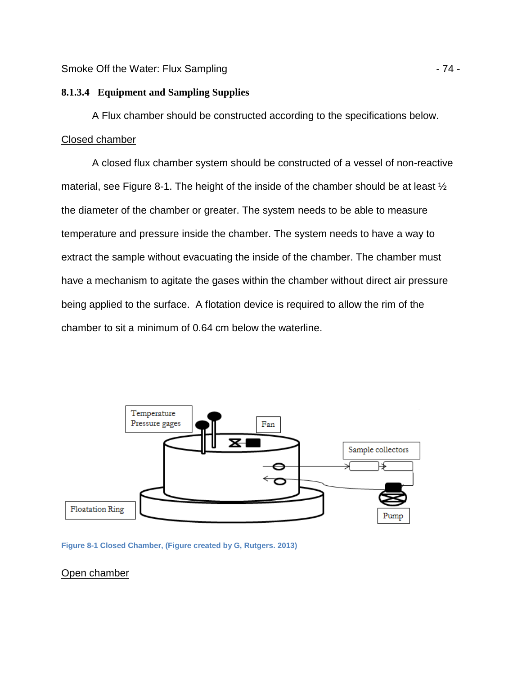#### **8.1.3.4 Equipment and Sampling Supplies**

A Flux chamber should be constructed according to the specifications below. Closed chamber

A closed flux chamber system should be constructed of a vessel of non-reactive material, see Figure 8-1. The height of the inside of the chamber should be at least  $\frac{1}{2}$ the diameter of the chamber or greater. The system needs to be able to measure temperature and pressure inside the chamber. The system needs to have a way to extract the sample without evacuating the inside of the chamber. The chamber must have a mechanism to agitate the gases within the chamber without direct air pressure being applied to the surface. A flotation device is required to allow the rim of the chamber to sit a minimum of 0.64 cm below the waterline.



**Figure 8-1 Closed Chamber, (Figure created by G, Rutgers. 2013)** 

Open chamber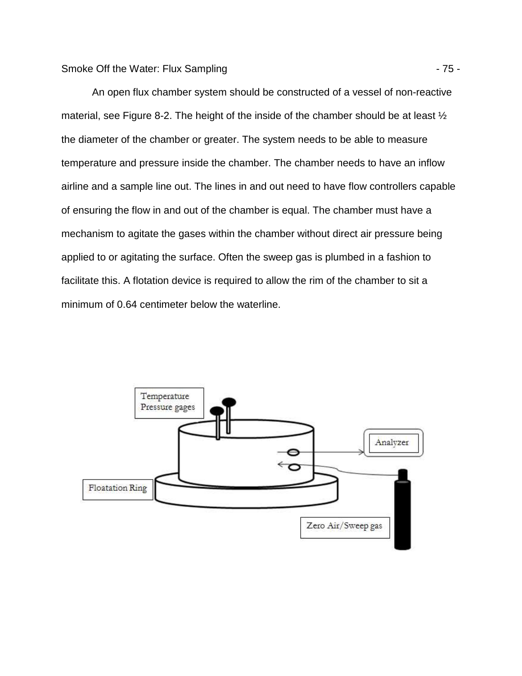An open flux chamber system should be constructed of a vessel of non-reactive material, see Figure 8-2. The height of the inside of the chamber should be at least ½ the diameter of the chamber or greater. The system needs to be able to measure temperature and pressure inside the chamber. The chamber needs to have an inflow airline and a sample line out. The lines in and out need to have flow controllers capable of ensuring the flow in and out of the chamber is equal. The chamber must have a mechanism to agitate the gases within the chamber without direct air pressure being applied to or agitating the surface. Often the sweep gas is plumbed in a fashion to facilitate this. A flotation device is required to allow the rim of the chamber to sit a minimum of 0.64 centimeter below the waterline.

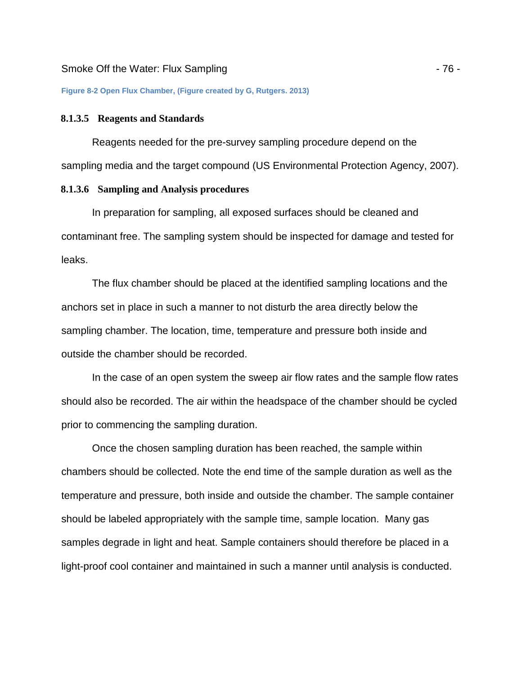**Figure 8-2 Open Flux Chamber, (Figure created by G, Rutgers. 2013)** 

#### **8.1.3.5 Reagents and Standards**

Reagents needed for the pre-survey sampling procedure depend on the sampling media and the target compound (US Environmental Protection Agency, 2007).

#### **8.1.3.6 Sampling and Analysis procedures**

In preparation for sampling, all exposed surfaces should be cleaned and contaminant free. The sampling system should be inspected for damage and tested for leaks.

The flux chamber should be placed at the identified sampling locations and the anchors set in place in such a manner to not disturb the area directly below the sampling chamber. The location, time, temperature and pressure both inside and outside the chamber should be recorded.

In the case of an open system the sweep air flow rates and the sample flow rates should also be recorded. The air within the headspace of the chamber should be cycled prior to commencing the sampling duration.

Once the chosen sampling duration has been reached, the sample within chambers should be collected. Note the end time of the sample duration as well as the temperature and pressure, both inside and outside the chamber. The sample container should be labeled appropriately with the sample time, sample location. Many gas samples degrade in light and heat. Sample containers should therefore be placed in a light-proof cool container and maintained in such a manner until analysis is conducted.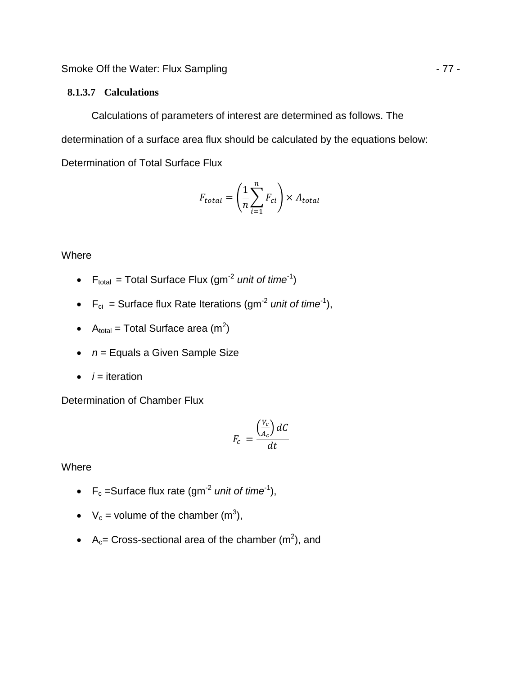Smoke Off the Water: Flux Sampling  $-77 -$ 

#### **8.1.3.7 Calculations**

Calculations of parameters of interest are determined as follows. The determination of a surface area flux should be calculated by the equations below: Determination of Total Surface Flux

$$
F_{total} = \left(\frac{1}{n}\sum_{i=1}^{n} F_{ci}\right) \times A_{total}
$$

## **Where**

- $F_{total} = Total Surface Flux (gm<sup>-2</sup> unit of time<sup>-1</sup>)$
- $F_{ci}$  = Surface flux Rate Iterations (gm<sup>-2</sup> unit of time<sup>-1</sup>),
- A<sub>total</sub> = Total Surface area (m<sup>2</sup>)
- $\bullet$   $n =$  Equals a Given Sample Size
- $\bullet$  *i* = iteration

Determination of Chamber Flux

$$
F_c = \frac{\left(\frac{V_c}{A_c}\right)dC}{dt}
$$

Where

- $F_c$  =Surface flux rate (gm<sup>-2</sup> unit of time<sup>-1</sup>),
- $V_c$  = volume of the chamber (m<sup>3</sup>),
- A<sub>c</sub>= Cross-sectional area of the chamber  $(m^2)$ , and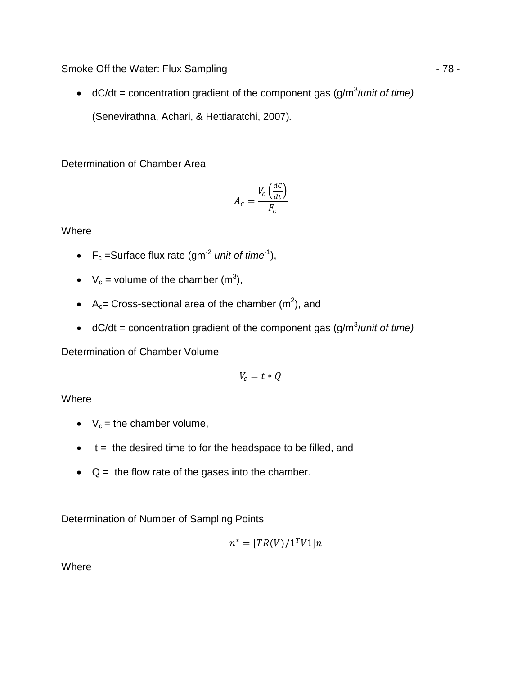Smoke Off the Water: Flux Sampling - 78 -

• dC/dt = concentration gradient of the component gas  $(g/m^3/unit$  of time) (Senevirathna, Achari, & Hettiaratchi, 2007).

Determination of Chamber Area

$$
A_c = \frac{V_c \left(\frac{dC}{dt}\right)}{F_c}
$$

**Where** 

- $F_c$  =Surface flux rate (gm<sup>-2</sup> unit of time<sup>-1</sup>),
- $V_c$  = volume of the chamber (m<sup>3</sup>),
- A<sub>c</sub>= Cross-sectional area of the chamber  $(m^2)$ , and
- dC/dt = concentration gradient of the component gas (g/m<sup>3</sup>/unit of time)

Determination of Chamber Volume

$$
V_c = t \ast Q
$$

**Where** 

- $V_c$  = the chamber volume,
- $\bullet$  t = the desired time to for the headspace to be filled, and
- $\bullet$  Q = the flow rate of the gases into the chamber.

Determination of Number of Sampling Points

$$
n^{\ast}=[TR(V)/\mathbf{1}^TV\mathbf{1}]n
$$

Where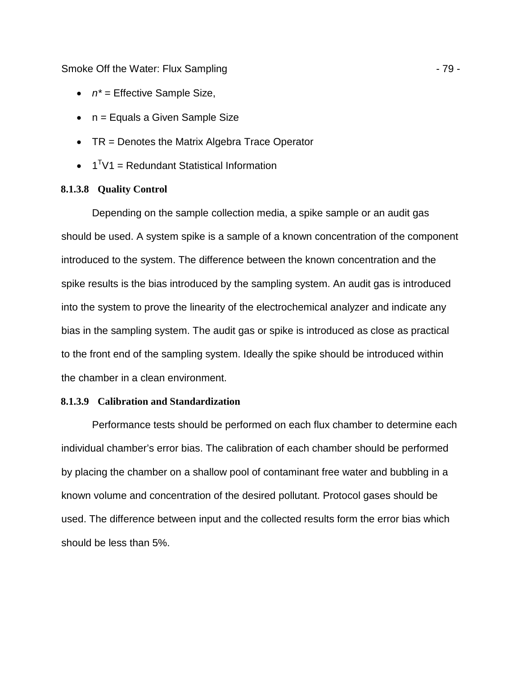#### Smoke Off the Water: Flux Sampling - 79 -

- $n^*$  = Effective Sample Size,
- n = Equals a Given Sample Size
- TR = Denotes the Matrix Algebra Trace Operator
- $\bullet$  1<sup>T</sup>V1 = Redundant Statistical Information

#### **8.1.3.8 Quality Control**

Depending on the sample collection media, a spike sample or an audit gas should be used. A system spike is a sample of a known concentration of the component introduced to the system. The difference between the known concentration and the spike results is the bias introduced by the sampling system. An audit gas is introduced into the system to prove the linearity of the electrochemical analyzer and indicate any bias in the sampling system. The audit gas or spike is introduced as close as practical to the front end of the sampling system. Ideally the spike should be introduced within the chamber in a clean environment.

#### **8.1.3.9 Calibration and Standardization**

Performance tests should be performed on each flux chamber to determine each individual chamber's error bias. The calibration of each chamber should be performed by placing the chamber on a shallow pool of contaminant free water and bubbling in a known volume and concentration of the desired pollutant. Protocol gases should be used. The difference between input and the collected results form the error bias which should be less than 5%.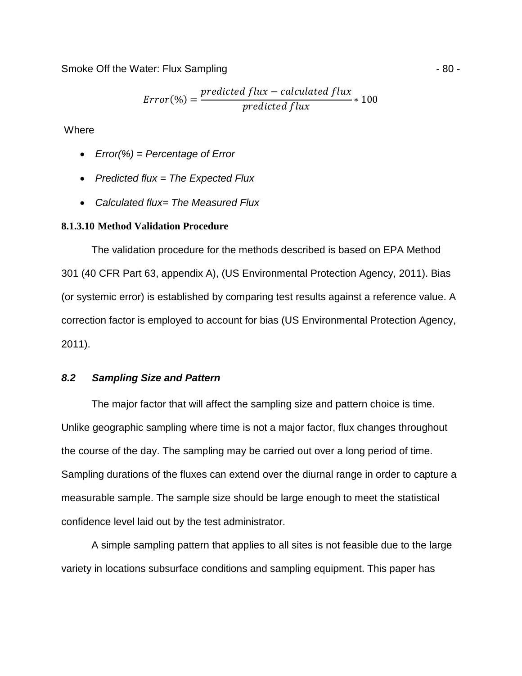Smoke Off the Water: Flux Sampling - 80 -

$$
Error(\%) = \frac{predicted flux - calculated flux}{predicted flux} * 100
$$

**Where** 

- Error(%) = Percentage of Error
- Predicted flux  $=$  The Expected Flux
- Calculated flux= The Measured Flux

#### **8.1.3.10 Method Validation Procedure**

The validation procedure for the methods described is based on EPA Method 301 (40 CFR Part 63, appendix A), (US Environmental Protection Agency, 2011). Bias (or systemic error) is established by comparing test results against a reference value. A correction factor is employed to account for bias (US Environmental Protection Agency, 2011).

#### **8.2 Sampling Size and Pattern**

The major factor that will affect the sampling size and pattern choice is time. Unlike geographic sampling where time is not a major factor, flux changes throughout the course of the day. The sampling may be carried out over a long period of time. Sampling durations of the fluxes can extend over the diurnal range in order to capture a measurable sample. The sample size should be large enough to meet the statistical confidence level laid out by the test administrator.

A simple sampling pattern that applies to all sites is not feasible due to the large variety in locations subsurface conditions and sampling equipment. This paper has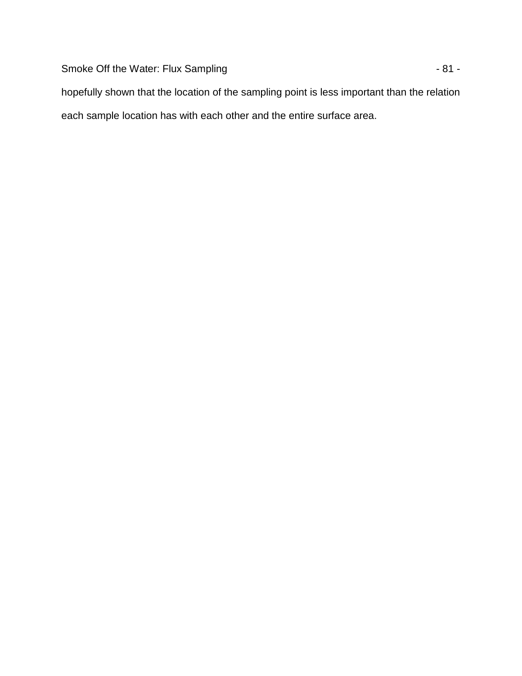Smoke Off the Water: Flux Sampling  $-81$  -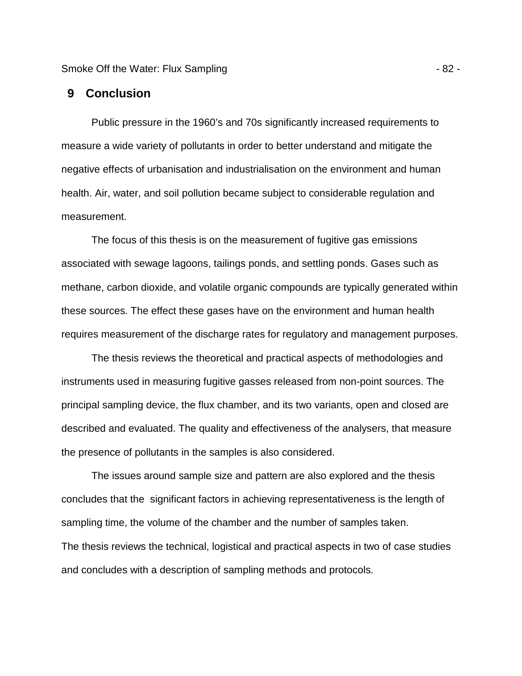Smoke Off the Water: Flux Sampling - 82 -

### **9 Conclusion**

Public pressure in the 1960's and 70s significantly increased requirements to measure a wide variety of pollutants in order to better understand and mitigate the negative effects of urbanisation and industrialisation on the environment and human health. Air, water, and soil pollution became subject to considerable regulation and measurement.

The focus of this thesis is on the measurement of fugitive gas emissions associated with sewage lagoons, tailings ponds, and settling ponds. Gases such as methane, carbon dioxide, and volatile organic compounds are typically generated within these sources. The effect these gases have on the environment and human health requires measurement of the discharge rates for regulatory and management purposes.

The thesis reviews the theoretical and practical aspects of methodologies and instruments used in measuring fugitive gasses released from non-point sources. The principal sampling device, the flux chamber, and its two variants, open and closed are described and evaluated. The quality and effectiveness of the analysers, that measure the presence of pollutants in the samples is also considered.

The issues around sample size and pattern are also explored and the thesis concludes that the significant factors in achieving representativeness is the length of sampling time, the volume of the chamber and the number of samples taken. The thesis reviews the technical, logistical and practical aspects in two of case studies and concludes with a description of sampling methods and protocols.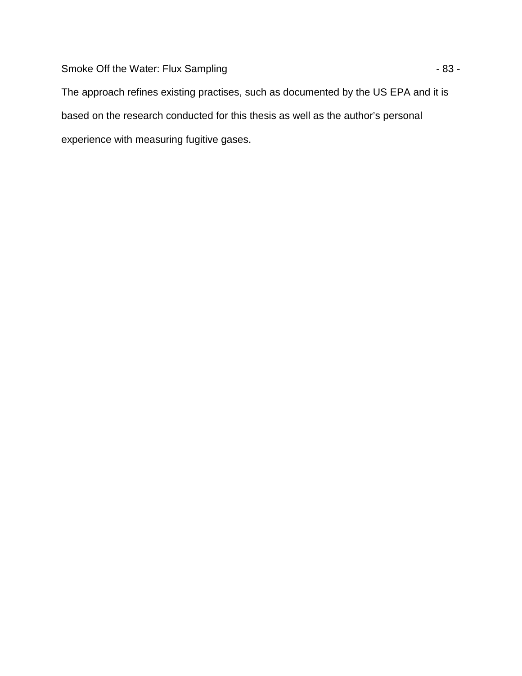Smoke Off the Water: Flux Sampling  $-83 -$ 

The approach refines existing practises, such as documented by the US EPA and it is based on the research conducted for this thesis as well as the author's personal experience with measuring fugitive gases.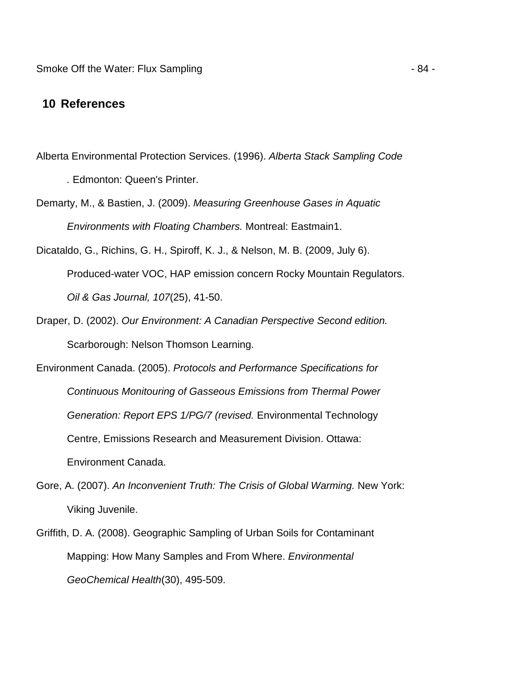# **10 References**

- Alberta Environmental Protection Services. (1996). Alberta Stack Sampling Code . Edmonton: Queen's Printer.
- Demarty, M., & Bastien, J. (2009). Measuring Greenhouse Gases in Aquatic Environments with Floating Chambers. Montreal: Eastmain1.
- Dicataldo, G., Richins, G. H., Spiroff, K. J., & Nelson, M. B. (2009, July 6). Produced-water VOC, HAP emission concern Rocky Mountain Regulators. Oil & Gas Journal, 107(25), 41-50.
- Draper, D. (2002). Our Environment: A Canadian Perspective Second edition. Scarborough: Nelson Thomson Learning.
- Environment Canada. (2005). Protocols and Performance Specifications for Continuous Monitouring of Gasseous Emissions from Thermal Power Generation: Report EPS 1/PG/7 (revised. Environmental Technology Centre, Emissions Research and Measurement Division. Ottawa: Environment Canada.
- Gore, A. (2007). An Inconvenient Truth: The Crisis of Global Warming. New York: Viking Juvenile.
- Griffith, D. A. (2008). Geographic Sampling of Urban Soils for Contaminant Mapping: How Many Samples and From Where. Environmental GeoChemical Health(30), 495-509.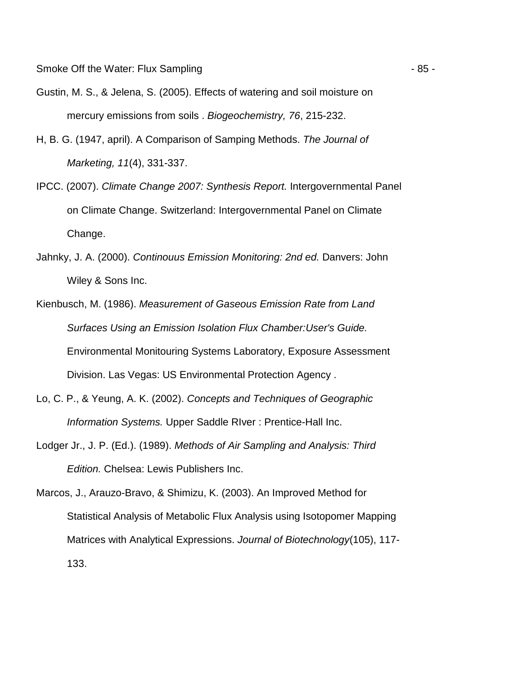- Gustin, M. S., & Jelena, S. (2005). Effects of watering and soil moisture on mercury emissions from soils . Biogeochemistry, 76, 215-232.
- H, B. G. (1947, april). A Comparison of Samping Methods. The Journal of Marketing, 11(4), 331-337.
- IPCC. (2007). Climate Change 2007: Synthesis Report. Intergovernmental Panel on Climate Change. Switzerland: Intergovernmental Panel on Climate Change.
- Jahnky, J. A. (2000). Continouus Emission Monitoring: 2nd ed. Danvers: John Wiley & Sons Inc.
- Kienbusch, M. (1986). Measurement of Gaseous Emission Rate from Land Surfaces Using an Emission Isolation Flux Chamber:User's Guide. Environmental Monitouring Systems Laboratory, Exposure Assessment Division. Las Vegas: US Environmental Protection Agency .
- Lo, C. P., & Yeung, A. K. (2002). Concepts and Techniques of Geographic Information Systems. Upper Saddle RIver : Prentice-Hall Inc.
- Lodger Jr., J. P. (Ed.). (1989). Methods of Air Sampling and Analysis: Third Edition. Chelsea: Lewis Publishers Inc.

Marcos, J., Arauzo-Bravo, & Shimizu, K. (2003). An Improved Method for Statistical Analysis of Metabolic Flux Analysis using Isotopomer Mapping Matrices with Analytical Expressions. Journal of Biotechnology (105), 117-133.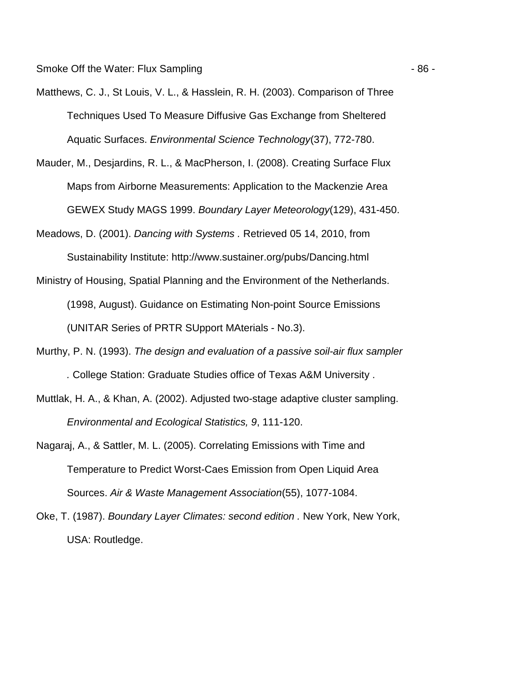Smoke Off the Water: Flux Sampling - 86 -

- Matthews, C. J., St Louis, V. L., & Hasslein, R. H. (2003). Comparison of Three Techniques Used To Measure Diffusive Gas Exchange from Sheltered Aquatic Surfaces. Environmental Science Technology(37), 772-780.
- Mauder, M., Desjardins, R. L., & MacPherson, I. (2008). Creating Surface Flux Maps from Airborne Measurements: Application to the Mackenzie Area GEWEX Study MAGS 1999. Boundary Layer Meteorology(129), 431-450.
- Meadows, D. (2001). Dancing with Systems . Retrieved 05 14, 2010, from Sustainability Institute: http://www.sustainer.org/pubs/Dancing.html
- Ministry of Housing, Spatial Planning and the Environment of the Netherlands. (1998, August). Guidance on Estimating Non-point Source Emissions (UNITAR Series of PRTR SUpport MAterials - No.3).
- Murthy, P. N. (1993). The design and evaluation of a passive soil-air flux sampler . College Station: Graduate Studies office of Texas A&M University .
- Muttlak, H. A., & Khan, A. (2002). Adjusted two-stage adaptive cluster sampling. Environmental and Ecological Statistics, 9, 111-120.
- Nagaraj, A., & Sattler, M. L. (2005). Correlating Emissions with Time and Temperature to Predict Worst-Caes Emission from Open Liquid Area Sources. Air & Waste Management Association(55), 1077-1084.
- Oke, T. (1987). Boundary Layer Climates: second edition . New York, New York, USA: Routledge.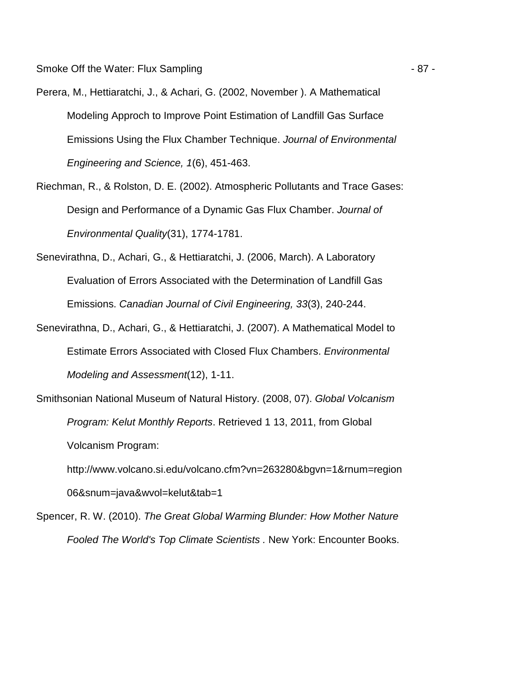- Perera, M., Hettiaratchi, J., & Achari, G. (2002, November ). A Mathematical Modeling Approch to Improve Point Estimation of Landfill Gas Surface Emissions Using the Flux Chamber Technique. Journal of Environmental Engineering and Science, 1(6), 451-463.
- Riechman, R., & Rolston, D. E. (2002). Atmospheric Pollutants and Trace Gases: Design and Performance of a Dynamic Gas Flux Chamber. Journal of Environmental Quality(31), 1774-1781.
- Senevirathna, D., Achari, G., & Hettiaratchi, J. (2006, March). A Laboratory Evaluation of Errors Associated with the Determination of Landfill Gas Emissions. Canadian Journal of Civil Engineering, 33(3), 240-244.
- Senevirathna, D., Achari, G., & Hettiaratchi, J. (2007). A Mathematical Model to Estimate Errors Associated with Closed Flux Chambers. Environmental Modeling and Assessment(12), 1-11.
- Smithsonian National Museum of Natural History. (2008, 07). Global Volcanism Program: Kelut Monthly Reports. Retrieved 1 13, 2011, from Global Volcanism Program:
	- http://www.volcano.si.edu/volcano.cfm?vn=263280&bgvn=1&rnum=region 06&snum=java&wvol=kelut&tab=1
- Spencer, R. W. (2010). The Great Global Warming Blunder: How Mother Nature Fooled The World's Top Climate Scientists . New York: Encounter Books.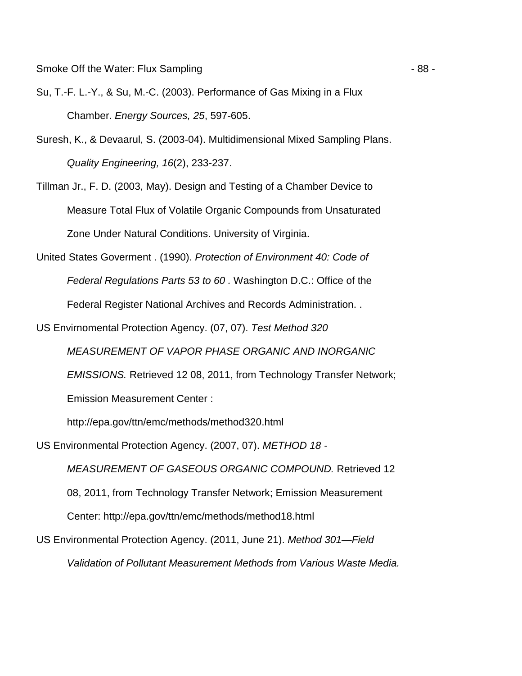- Su, T.-F. L.-Y., & Su, M.-C. (2003). Performance of Gas Mixing in a Flux Chamber. Energy Sources, 25, 597-605.
- Suresh, K., & Devaarul, S. (2003-04). Multidimensional Mixed Sampling Plans. Quality Engineering, 16(2), 233-237.
- Tillman Jr., F. D. (2003, May). Design and Testing of a Chamber Device to Measure Total Flux of Volatile Organic Compounds from Unsaturated Zone Under Natural Conditions. University of Virginia.
- United States Goverment . (1990). Protection of Environment 40: Code of Federal Regulations Parts 53 to 60 . Washington D.C.: Office of the Federal Register National Archives and Records Administration. .
- US Envirnomental Protection Agency. (07, 07). Test Method 320

MEASUREMENT OF VAPOR PHASE ORGANIC AND INORGANIC

EMISSIONS. Retrieved 12 08, 2011, from Technology Transfer Network;

Emission Measurement Center :

http://epa.gov/ttn/emc/methods/method320.html

US Environmental Protection Agency. (2007, 07). METHOD 18 -

MEASUREMENT OF GASEOUS ORGANIC COMPOUND. Retrieved 12 08, 2011, from Technology Transfer Network; Emission Measurement Center: http://epa.gov/ttn/emc/methods/method18.html

US Environmental Protection Agency. (2011, June 21). Method 301—Field

Validation of Pollutant Measurement Methods from Various Waste Media.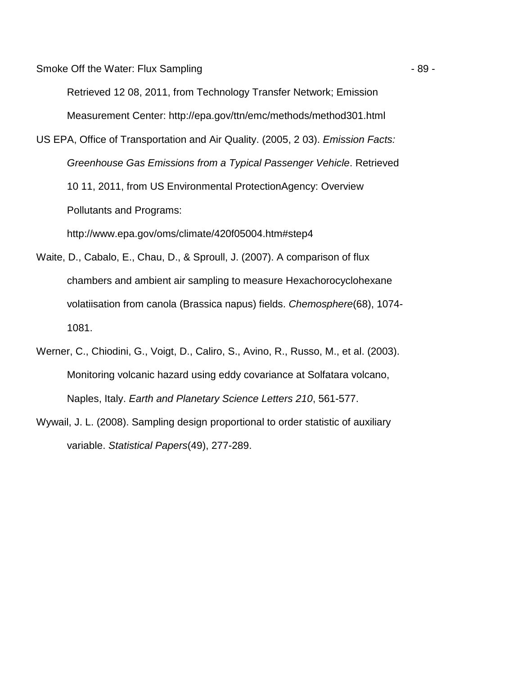Smoke Off the Water: Flux Sampling  $-89 -$ 

Retrieved 12 08, 2011, from Technology Transfer Network; Emission Measurement Center: http://epa.gov/ttn/emc/methods/method301.html

US EPA, Office of Transportation and Air Quality. (2005, 2 03). Emission Facts: Greenhouse Gas Emissions from a Typical Passenger Vehicle. Retrieved 10 11, 2011, from US Environmental ProtectionAgency: Overview Pollutants and Programs:

http://www.epa.gov/oms/climate/420f05004.htm#step4

- Waite, D., Cabalo, E., Chau, D., & Sproull, J. (2007). A comparison of flux chambers and ambient air sampling to measure Hexachorocyclohexane volatiisation from canola (Brassica napus) fields. Chemosphere(68), 1074- 1081.
- Werner, C., Chiodini, G., Voigt, D., Caliro, S., Avino, R., Russo, M., et al. (2003). Monitoring volcanic hazard using eddy covariance at Solfatara volcano, Naples, Italy. Earth and Planetary Science Letters 210, 561-577.
- Wywail, J. L. (2008). Sampling design proportional to order statistic of auxiliary variable. Statistical Papers(49), 277-289.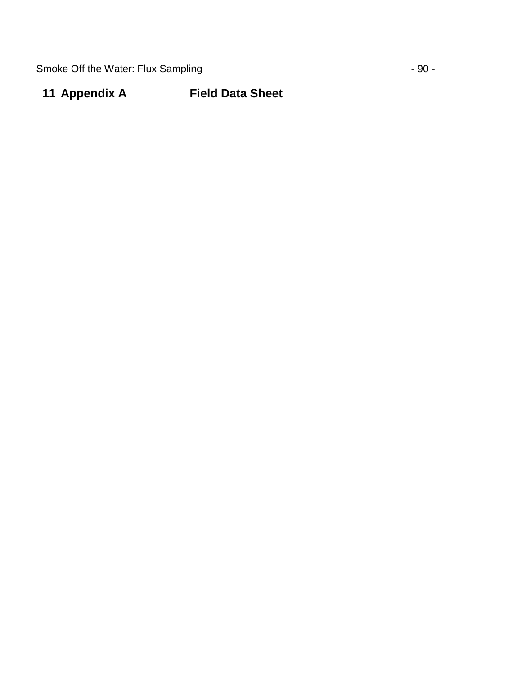Smoke Off the Water: Flux Sampling  $-90 -$ 

# **11 Appendix A Field Data Sheet**